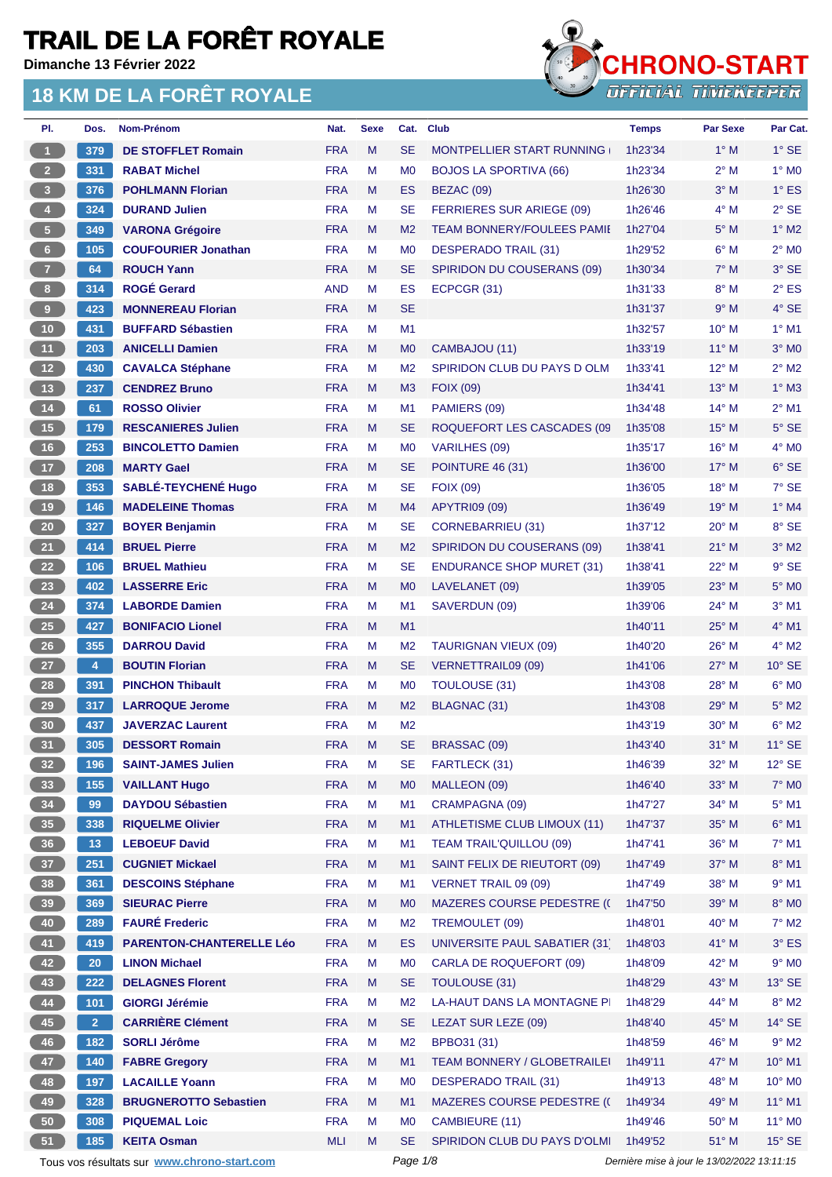**Dimanche 13 Février 2022**



| PI.                     | Dos.           | Nom-Prénom                                  | Nat.       | <b>Sexe</b> | Cat.           | <b>Club</b>                        | <b>Temps</b> | <b>Par Sexe</b>                             | Par Cat.        |
|-------------------------|----------------|---------------------------------------------|------------|-------------|----------------|------------------------------------|--------------|---------------------------------------------|-----------------|
| $\blacktriangleleft$    | 379            | <b>DE STOFFLET Romain</b>                   | <b>FRA</b> | M           | <b>SE</b>      | <b>MONTPELLIER START RUNNING</b>   | 1h23'34      | $1^\circ$ M                                 | $1^\circ$ SE    |
| 2 <sup>7</sup>          | 331            | <b>RABAT Michel</b>                         | <b>FRA</b> | М           | M <sub>0</sub> | <b>BOJOS LA SPORTIVA (66)</b>      | 1h23'34      | $2^{\circ}$ M                               | $1^\circ$ MO    |
| $\overline{\mathbf{3}}$ | 376            | <b>POHLMANN Florian</b>                     | <b>FRA</b> | M           | ES             | BEZAC (09)                         | 1h26'30      | $3^\circ$ M                                 | $1^{\circ}$ ES  |
| $\overline{4}$          | 324            | <b>DURAND Julien</b>                        | <b>FRA</b> | M           | <b>SE</b>      | FERRIERES SUR ARIEGE (09)          | 1h26'46      | $4^\circ$ M                                 | $2°$ SE         |
| $\sqrt{5}$              | 349            | <b>VARONA Grégoire</b>                      | <b>FRA</b> | M           | M <sub>2</sub> | <b>TEAM BONNERY/FOULEES PAMIL</b>  | 1h27'04      | $5^\circ$ M                                 | $1^\circ$ M2    |
| $6\phantom{.}6$         | 105            | <b>COUFOURIER Jonathan</b>                  | <b>FRA</b> | м           | M <sub>0</sub> | DESPERADO TRAIL (31)               | 1h29'52      | $6^\circ$ M                                 | $2^{\circ}$ MO  |
| 7 <sup>2</sup>          | 64             | <b>ROUCH Yann</b>                           | <b>FRA</b> | M           | <b>SE</b>      | SPIRIDON DU COUSERANS (09)         | 1h30'34      | $7^\circ$ M                                 | 3° SE           |
| $\boldsymbol{8}$        | 314            | <b>ROGÉ Gerard</b>                          | <b>AND</b> | м           | <b>ES</b>      | ECPCGR (31)                        | 1h31'33      | $8^\circ$ M                                 | $2^{\circ}$ ES  |
| 9                       | 423            | <b>MONNEREAU Florian</b>                    | <b>FRA</b> | M           | <b>SE</b>      |                                    | 1h31'37      | 9° M                                        | $4^\circ$ SE    |
| 10                      | 431            | <b>BUFFARD Sébastien</b>                    | <b>FRA</b> | м           | M1             |                                    | 1h32'57      | 10° M                                       | $1°$ M1         |
| 11                      | 203            | <b>ANICELLI Damien</b>                      | <b>FRA</b> | M           | M <sub>0</sub> | CAMBAJOU (11)                      | 1h33'19      | $11^{\circ}$ M                              | $3°$ MO         |
| $12$                    | 430            | <b>CAVALCA Stéphane</b>                     | <b>FRA</b> | м           | M <sub>2</sub> | SPIRIDON CLUB DU PAYS D OLM        | 1h33'41      | 12° M                                       | $2^{\circ}$ M2  |
| 13                      | 237            | <b>CENDREZ Bruno</b>                        | <b>FRA</b> | M           | M <sub>3</sub> | <b>FOIX (09)</b>                   | 1h34'41      | $13^\circ$ M                                | $1^\circ$ M3    |
| $14$                    | 61             | <b>ROSSO Olivier</b>                        | <b>FRA</b> | М           | M1             | PAMIERS (09)                       | 1h34'48      | $14^{\circ}$ M                              | $2^{\circ}$ M1  |
| 15                      | 179            | <b>RESCANIERES Julien</b>                   | <b>FRA</b> | M           | <b>SE</b>      | ROQUEFORT LES CASCADES (09         | 1h35'08      | $15^{\circ}$ M                              | $5^\circ$ SE    |
| 16                      | 253            | <b>BINCOLETTO Damien</b>                    | <b>FRA</b> | M           | M <sub>0</sub> | <b>VARILHES (09)</b>               | 1h35'17      | $16^{\circ}$ M                              | $4^\circ$ MO    |
| 17                      | 208            | <b>MARTY Gael</b>                           | <b>FRA</b> | M           | <b>SE</b>      | <b>POINTURE 46 (31)</b>            | 1h36'00      | $17^{\circ}$ M                              | 6° SE           |
| 18                      | 353            | <b>SABLÉ-TEYCHENÉ Hugo</b>                  | <b>FRA</b> | M           | <b>SE</b>      | <b>FOIX (09)</b>                   | 1h36'05      | 18° M                                       | 7° SE           |
| 19                      | $146$          | <b>MADELEINE Thomas</b>                     | <b>FRA</b> | M           | M4             | <b>APYTRI09 (09)</b>               | 1h36'49      | 19° M                                       | $1^\circ$ M4    |
| 20                      | 327            | <b>BOYER Benjamin</b>                       | <b>FRA</b> | M           | <b>SE</b>      | <b>CORNEBARRIEU (31)</b>           | 1h37'12      | $20^{\circ}$ M                              | 8° SE           |
| 21                      | 414            | <b>BRUEL Pierre</b>                         | <b>FRA</b> | M           | M <sub>2</sub> | SPIRIDON DU COUSERANS (09)         | 1h38'41      | $21^{\circ}$ M                              | $3^\circ$ M2    |
| 22                      | 106            | <b>BRUEL Mathieu</b>                        | <b>FRA</b> | М           | <b>SE</b>      | <b>ENDURANCE SHOP MURET (31)</b>   | 1h38'41      | $22^{\circ}$ M                              | $9°$ SE         |
| 23                      | 402            | <b>LASSERRE Eric</b>                        | <b>FRA</b> | M           | M <sub>0</sub> | LAVELANET (09)                     | 1h39'05      | $23^\circ$ M                                | $5^\circ$ MO    |
| 24                      | 374            | <b>LABORDE Damien</b>                       | <b>FRA</b> | M           | M <sub>1</sub> | SAVERDUN (09)                      | 1h39'06      | 24° M                                       | $3^\circ$ M1    |
| <b>25</b>               | 427            | <b>BONIFACIO Lionel</b>                     | <b>FRA</b> | M           | M1             |                                    | 1h40'11      | 25° M                                       | $4^\circ$ M1    |
| 26                      | 355            | <b>DARROU David</b>                         | <b>FRA</b> | м           | M <sub>2</sub> | <b>TAURIGNAN VIEUX (09)</b>        | 1h40'20      | 26° M                                       | $4^{\circ}$ M2  |
| 27                      | $\overline{4}$ | <b>BOUTIN Florian</b>                       | <b>FRA</b> | M           | <b>SE</b>      | VERNETTRAIL09 (09)                 | 1h41'06      | $27^\circ$ M                                | $10^{\circ}$ SE |
| 28                      | 391            | <b>PINCHON Thibault</b>                     | <b>FRA</b> | M           | M <sub>0</sub> | <b>TOULOUSE (31)</b>               | 1h43'08      | 28° M                                       | $6^{\circ}$ MO  |
| 29                      | 317            | <b>LARROQUE Jerome</b>                      | <b>FRA</b> | M           | M <sub>2</sub> | BLAGNAC (31)                       | 1h43'08      | $29°$ M                                     | $5^\circ$ M2    |
| 30                      | 437            | <b>JAVERZAC Laurent</b>                     | <b>FRA</b> | M           | M <sub>2</sub> |                                    | 1h43'19      | 30° M                                       | $6^{\circ}$ M2  |
| 31                      | 305            | <b>DESSORT Romain</b>                       | <b>FRA</b> | М           | <b>SE</b>      | BRASSAC (09)                       | 1h43'40      | $31^\circ$ M                                | $11^\circ$ SE   |
| 32 <sub>2</sub>         | 196            | <b>SAINT-JAMES Julien</b>                   | <b>FRA</b> | M           | <b>SE</b>      | FARTLECK (31)                      | 1h46'39      | 32° M                                       | 12° SE          |
| 33                      | $155$          | <b>VAILLANT Hugo</b>                        | <b>FRA</b> | M           | M <sub>0</sub> | MALLEON (09)                       | 1h46'40      | 33° M                                       | $7^\circ$ MO    |
| 34                      | 99             | <b>DAYDOU Sébastien</b>                     | <b>FRA</b> | M           | M <sub>1</sub> | CRAMPAGNA (09)                     | 1h47'27      | 34° M                                       | $5^\circ$ M1    |
| 35 <sub>5</sub>         | 338            | <b>RIQUELME Olivier</b>                     | <b>FRA</b> | M           | M1             | <b>ATHLETISME CLUB LIMOUX (11)</b> | 1h47'37      | 35° M                                       | $6^\circ$ M1    |
| 36                      | 13             | <b>LEBOEUF David</b>                        | <b>FRA</b> | M           | M <sub>1</sub> | <b>TEAM TRAIL'QUILLOU (09)</b>     | 1h47'41      | 36° M                                       | $7^\circ$ M1    |
| 37 <sup>°</sup>         | 251            | <b>CUGNIET Mickael</b>                      | <b>FRA</b> | M           | M <sub>1</sub> | SAINT FELIX DE RIEUTORT (09)       | 1h47'49      | 37° M                                       | $8^\circ$ M1    |
| 38                      | 361            | <b>DESCOINS Stéphane</b>                    | <b>FRA</b> | M           | M <sub>1</sub> | VERNET TRAIL 09 (09)               | 1h47'49      | 38° M                                       | $9°$ M1         |
| 39                      | 369            | <b>SIEURAC Pierre</b>                       | <b>FRA</b> | M           | M <sub>0</sub> | <b>MAZERES COURSE PEDESTRE (()</b> | 1h47'50      | 39° M                                       | $8^\circ$ MO    |
| 40                      | 289            | <b>FAURÉ Frederic</b>                       | <b>FRA</b> | M           | M <sub>2</sub> | TREMOULET (09)                     | 1h48'01      | 40° M                                       | $7°$ M2         |
| 41                      | 419            | <b>PARENTON-CHANTERELLE Léo</b>             | <b>FRA</b> | M           | ES             | UNIVERSITE PAUL SABATIER (31)      | 1h48'03      | 41° M                                       | $3°$ ES         |
| 42                      | 20             | <b>LINON Michael</b>                        | <b>FRA</b> | M           | M <sub>0</sub> | <b>CARLA DE ROQUEFORT (09)</b>     | 1h48'09      | 42° M                                       | $9^\circ$ MO    |
| 43                      | 222            | <b>DELAGNES Florent</b>                     | <b>FRA</b> | M           | <b>SE</b>      | <b>TOULOUSE (31)</b>               | 1h48'29      | 43° M                                       | $13^\circ$ SE   |
| 44                      | 101            | <b>GIORGI Jérémie</b>                       | <b>FRA</b> | M           | M <sub>2</sub> | LA-HAUT DANS LA MONTAGNE PI        | 1h48'29      | 44° M                                       | $8^\circ$ M2    |
| 45                      | 2 <sup>1</sup> | <b>CARRIÈRE Clément</b>                     | <b>FRA</b> | M           | <b>SE</b>      | LEZAT SUR LEZE (09)                | 1h48'40      | 45° M                                       | $14^{\circ}$ SE |
| 46                      | 182            | <b>SORLI Jérôme</b>                         | <b>FRA</b> | M           | M <sub>2</sub> | BPBO31 (31)                        | 1h48'59      | 46° M                                       | $9°$ M2         |
| 47                      | 140            | <b>FABRE Gregory</b>                        | <b>FRA</b> | M           | M <sub>1</sub> | TEAM BONNERY / GLOBETRAILEI        | 1h49'11      | 47° M                                       | $10^{\circ}$ M1 |
| 48                      | 197            | <b>LACAILLE Yoann</b>                       | <b>FRA</b> | M           | M <sub>0</sub> | <b>DESPERADO TRAIL (31)</b>        | 1h49'13      | 48° M                                       | 10° MO          |
| 49                      | 328            | <b>BRUGNEROTTO Sebastien</b>                | <b>FRA</b> | M           | M1             | <b>MAZERES COURSE PEDESTRE (()</b> | 1h49'34      | 49° M                                       | $11^{\circ}$ M1 |
| $50\,$                  | 308            | <b>PIQUEMAL Loic</b>                        | <b>FRA</b> | M           | M <sub>0</sub> | CAMBIEURE (11)                     | 1h49'46      | 50° M                                       | 11° MO          |
| 51                      | 185            | <b>KEITA Osman</b>                          | MLI        | M           | <b>SE</b>      | SPIRIDON CLUB DU PAYS D'OLMI       | 1h49'52      | 51° M                                       | $15^\circ$ SE   |
|                         |                | Tous vos résultats sur www.chrono-start.com |            |             | Page 1/8       |                                    |              | Dernière mise à jour le 13/02/2022 13:11:15 |                 |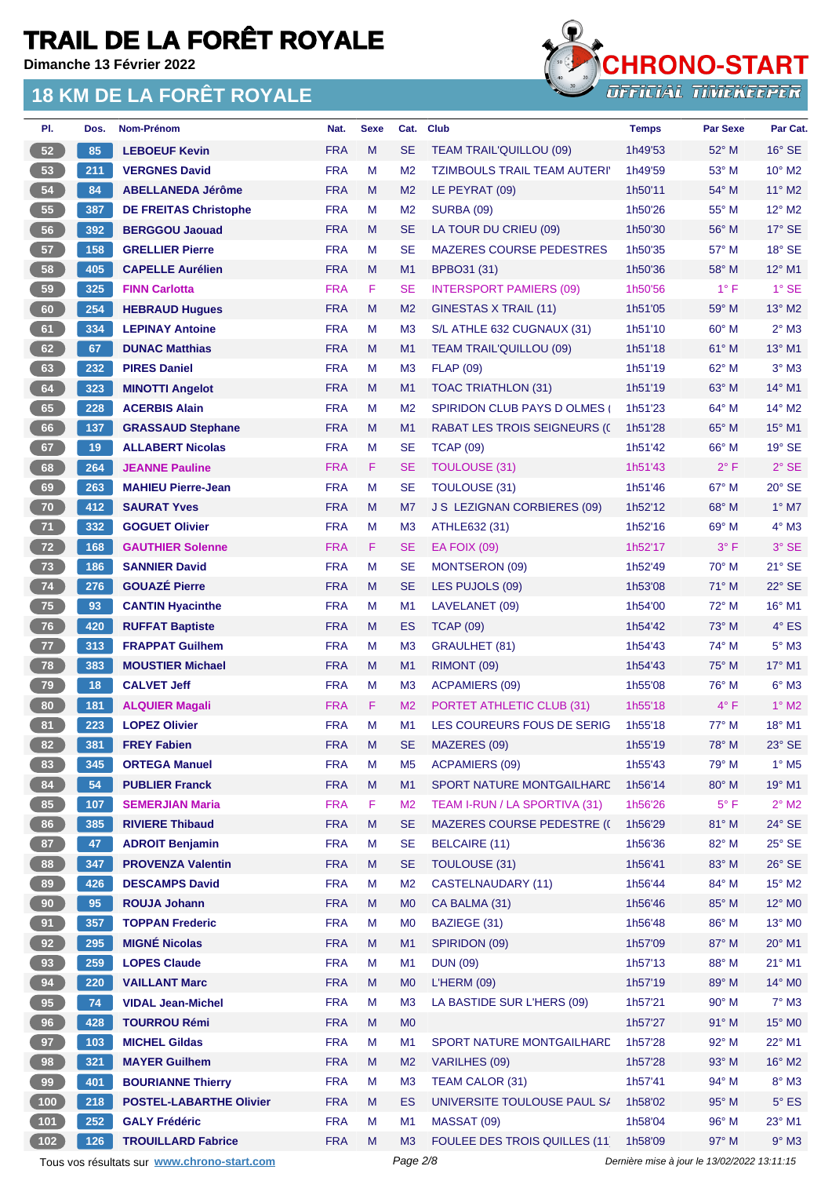**Dimanche 13 Février 2022**



| PI.             | Dos. | Nom-Prénom                                  | Nat.       | <b>Sexe</b> | Cat.           | <b>Club</b>                         | <b>Temps</b>                                | <b>Par Sexe</b> | Par Cat.                 |
|-----------------|------|---------------------------------------------|------------|-------------|----------------|-------------------------------------|---------------------------------------------|-----------------|--------------------------|
| 52              | 85   | <b>LEBOEUF Kevin</b>                        | <b>FRA</b> | M           | <b>SE</b>      | <b>TEAM TRAIL'QUILLOU (09)</b>      | 1h49'53                                     | 52° M           | $16°$ SE                 |
| 53              | 211  | <b>VERGNES David</b>                        | <b>FRA</b> | M           | M <sub>2</sub> | <b>TZIMBOULS TRAIL TEAM AUTERIY</b> | 1h49'59                                     | $53^\circ$ M    | $10^{\circ}$ M2          |
| 54              | 84   | <b>ABELLANEDA Jérôme</b>                    | <b>FRA</b> | M           | M <sub>2</sub> | LE PEYRAT (09)                      | 1h50'11                                     | 54° M           | $11^{\circ}$ M2          |
| 55              | 387  | <b>DE FREITAS Christophe</b>                | <b>FRA</b> | M           | M <sub>2</sub> | <b>SURBA (09)</b>                   | 1h50'26                                     | 55° M           | $12^{\circ}$ M2          |
| 56              | 392  | <b>BERGGOU Jaouad</b>                       | <b>FRA</b> | M           | <b>SE</b>      | LA TOUR DU CRIEU (09)               | 1h50'30                                     | 56° M           | $17^\circ$ SE            |
| 57              | 158  | <b>GRELLIER Pierre</b>                      | <b>FRA</b> | м           | <b>SE</b>      | <b>MAZERES COURSE PEDESTRES</b>     | 1h50'35                                     | 57° M           | $18°$ SE                 |
| 58              | 405  | <b>CAPELLE Aurélien</b>                     | <b>FRA</b> | M           | M1             | BPBO31 (31)                         | 1h50'36                                     | $58^\circ$ M    | 12° M1                   |
| 59              | 325  | <b>FINN Carlotta</b>                        | <b>FRA</b> | F           | <b>SE</b>      | <b>INTERSPORT PAMIERS (09)</b>      | 1h50'56                                     | $1^{\circ}$ F   | $1^\circ$ SE             |
| 60              | 254  | <b>HEBRAUD Hugues</b>                       | <b>FRA</b> | M           | M <sub>2</sub> | GINESTAS X TRAIL (11)               | 1h51'05                                     | $59^\circ$ M    | $13^\circ$ M2            |
| 61              | 334  | <b>LEPINAY Antoine</b>                      | <b>FRA</b> | м           | M <sub>3</sub> | S/L ATHLE 632 CUGNAUX (31)          | 1h51'10                                     | $60^\circ$ M    | $2^{\circ}$ M3           |
| 62              | 67   | <b>DUNAC Matthias</b>                       | <b>FRA</b> | M           | M <sub>1</sub> | <b>TEAM TRAIL'QUILLOU (09)</b>      | 1h51'18                                     | $61^\circ$ M    | $13^{\circ}$ M1          |
| 63              | 232  | <b>PIRES Daniel</b>                         | <b>FRA</b> | м           | M <sub>3</sub> | <b>FLAP (09)</b>                    | 1h51'19                                     | 62° M           | $3°$ M $3$               |
| 64              | 323  | <b>MINOTTI Angelot</b>                      | <b>FRA</b> | M           | M1             | <b>TOAC TRIATHLON (31)</b>          | 1h51'19                                     | $63^\circ$ M    | $14^{\circ}$ M1          |
| 65              | 228  | <b>ACERBIS Alain</b>                        | <b>FRA</b> | М           | M <sub>2</sub> | <b>SPIRIDON CLUB PAYS D OLMES (</b> | 1h51'23                                     | $64^{\circ}$ M  | $14^{\circ}$ M2          |
| 66              | 137  | <b>GRASSAUD Stephane</b>                    | <b>FRA</b> | M           | M1             | <b>RABAT LES TROIS SEIGNEURS (C</b> | 1h51'28                                     | $65^\circ$ M    | 15° M1                   |
| 67              | 19   | <b>ALLABERT Nicolas</b>                     | <b>FRA</b> | м           | <b>SE</b>      | <b>TCAP (09)</b>                    | 1h51'42                                     | $66^{\circ}$ M  | $19°$ SE                 |
| 68              | 264  | <b>JEANNE Pauline</b>                       | <b>FRA</b> | F           | <b>SE</b>      | <b>TOULOUSE (31)</b>                | 1h51'43                                     | $2^{\circ}$ F   | $2°$ SE                  |
| 69              | 263  | <b>MAHIEU Pierre-Jean</b>                   | <b>FRA</b> | M           | <b>SE</b>      | <b>TOULOUSE (31)</b>                | 1h51'46                                     | 67° M           | $20^\circ$ SE            |
| 70              | 412  | <b>SAURAT Yves</b>                          | <b>FRA</b> | M           | M7             | <b>J S LEZIGNAN CORBIERES (09)</b>  | 1h52'12                                     | 68° M           | $1^\circ$ M7             |
| 71              | 332  | <b>GOGUET Olivier</b>                       | <b>FRA</b> | M           | M <sub>3</sub> | ATHLE632 (31)                       | 1h52'16                                     | $69^\circ$ M    | $4^\circ$ M3             |
| 72              | 168  | <b>GAUTHIER Solenne</b>                     | <b>FRA</b> | F           | <b>SE</b>      | <b>EA FOIX (09)</b>                 | 1h52'17                                     | $3^\circ$ F     | 3° SE                    |
| 73              | 186  | <b>SANNIER David</b>                        | <b>FRA</b> | M           | <b>SE</b>      | MONTSERON (09)                      | 1h52'49                                     | $70^\circ$ M    | $21^\circ$ SE            |
| 74              | 276  | <b>GOUAZÉ Pierre</b>                        | <b>FRA</b> | M           | <b>SE</b>      | LES PUJOLS (09)                     | 1h53'08                                     | $71^\circ$ M    | 22° SE                   |
| 75              | 93   | <b>CANTIN Hyacinthe</b>                     | <b>FRA</b> | M           | M1             | LAVELANET (09)                      | 1h54'00                                     | 72° M           | $16^{\circ}$ M1          |
| 76              | 420  | <b>RUFFAT Baptiste</b>                      | <b>FRA</b> | M           | ES             | <b>TCAP (09)</b>                    | 1h54'42                                     | $73^\circ$ M    | $4^\circ$ ES             |
| 77              | 313  | <b>FRAPPAT Guilhem</b>                      | <b>FRA</b> | м           | M <sub>3</sub> | GRAULHET (81)                       | 1h54'43                                     | 74° M           | $5^\circ$ M3             |
| 78              | 383  | <b>MOUSTIER Michael</b>                     | <b>FRA</b> | M           | M1             | RIMONT (09)                         | 1h54'43                                     | $75^\circ$ M    | 17° M1                   |
| 79              | 18   | <b>CALVET Jeff</b>                          | <b>FRA</b> | м           | M <sub>3</sub> | <b>ACPAMIERS (09)</b>               | 1h55'08                                     | 76° M           | $6^\circ$ M3             |
| 80              | 181  | <b>ALQUIER Magali</b>                       | <b>FRA</b> | F           | M <sub>2</sub> | PORTET ATHLETIC CLUB (31)           | 1h55'18                                     | $4^{\circ}$ F   | $1^\circ$ M2             |
| 81              | 223  | <b>LOPEZ Olivier</b>                        | <b>FRA</b> | M           | M1             | LES COUREURS FOUS DE SERIG          | 1h55'18                                     | 77° M           | 18° M1                   |
| 82              | 381  | <b>FREY Fabien</b>                          | <b>FRA</b> | M           | <b>SE</b>      | MAZERES (09)                        | 1h55'19                                     | 78° M           | 23° SE                   |
| 83              | 345  | <b>ORTEGA Manuel</b>                        | <b>FRA</b> | M           | M <sub>5</sub> | <b>ACPAMIERS (09)</b>               | 1h55'43                                     | 79° M           | $1^\circ$ M <sub>5</sub> |
| 84              | 54   | <b>PUBLIER Franck</b>                       | <b>FRA</b> | M           | M1             | SPORT NATURE MONTGAILHARD           | 1h56'14                                     | 80° M           | 19° M1                   |
| 85              | 107  | <b>SEMERJIAN Maria</b>                      | <b>FRA</b> | F           | M <sub>2</sub> | TEAM I-RUN / LA SPORTIVA (31)       | 1h56'26                                     | $5^{\circ}$ F   | $2^{\circ}$ M2           |
| 86              | 385  | <b>RIVIERE Thibaud</b>                      | <b>FRA</b> | M           | <b>SE</b>      | <b>MAZERES COURSE PEDESTRE (C</b>   | 1h56'29                                     | 81° M           | $24^{\circ}$ SE          |
| 87              | 47   | <b>ADROIT Benjamin</b>                      | <b>FRA</b> | M           | <b>SE</b>      | BELCAIRE (11)                       | 1h56'36                                     | 82° M           | $25^\circ$ SE            |
| 88              | 347  | <b>PROVENZA Valentin</b>                    | <b>FRA</b> | M           | <b>SE</b>      | <b>TOULOUSE (31)</b>                | 1h56'41                                     | 83° M           | $26^\circ$ SE            |
| 89              | 426  | <b>DESCAMPS David</b>                       | <b>FRA</b> | M           | M <sub>2</sub> | <b>CASTELNAUDARY (11)</b>           | 1h56'44                                     | 84° M           | $15^{\circ}$ M2          |
| 90 <sub>o</sub> | 95   | <b>ROUJA Johann</b>                         | <b>FRA</b> | M           | M <sub>0</sub> | CA BALMA (31)                       | 1h56'46                                     | 85° M           | 12° MO                   |
| 91              | 357  | <b>TOPPAN Frederic</b>                      | <b>FRA</b> | М           | M <sub>0</sub> | BAZIEGE (31)                        | 1h56'48                                     | 86° M           | 13° MO                   |
| 92              | 295  | <b>MIGNÉ Nicolas</b>                        | <b>FRA</b> | M           | M1             | SPIRIDON (09)                       | 1h57'09                                     | 87° M           | 20° M1                   |
| 93              | 259  | <b>LOPES Claude</b>                         | <b>FRA</b> | M           | M1             | <b>DUN (09)</b>                     | 1h57'13                                     | 88° M           | 21° M1                   |
| 94              | 220  | <b>VAILLANT Marc</b>                        | <b>FRA</b> | M           | M <sub>0</sub> | <b>L'HERM (09)</b>                  | 1h57'19                                     | 89° M           | 14° MO                   |
| 95              | 74   | <b>VIDAL Jean-Michel</b>                    | <b>FRA</b> | M           | M <sub>3</sub> | LA BASTIDE SUR L'HERS (09)          | 1h57'21                                     | 90° M           | $7^\circ$ M3             |
| 96              | 428  | <b>TOURROU Rémi</b>                         | <b>FRA</b> | M           | M <sub>0</sub> |                                     | 1h57'27                                     | $91°$ M         | 15° MO                   |
| 97              | 103  | <b>MICHEL Gildas</b>                        | <b>FRA</b> | M           | M1             | SPORT NATURE MONTGAILHARD           | 1h57'28                                     | 92° M           | 22° M1                   |
| 98              | 321  | <b>MAYER Guilhem</b>                        | <b>FRA</b> | M           | M <sub>2</sub> | VARILHES (09)                       | 1h57'28                                     | 93° M           | $16^{\circ}$ M2          |
| 99              | 401  | <b>BOURIANNE Thierry</b>                    | <b>FRA</b> | M           | M <sub>3</sub> | TEAM CALOR (31)                     | 1h57'41                                     | 94° M           | $8^\circ$ M3             |
| (100)           | 218  | <b>POSTEL-LABARTHE Olivier</b>              | <b>FRA</b> | M           | <b>ES</b>      | UNIVERSITE TOULOUSE PAUL S/         | 1h58'02                                     | 95° M           | $5^\circ$ ES             |
| $101$           | 252  | <b>GALY Frédéric</b>                        | <b>FRA</b> | M           | M1             | MASSAT (09)                         | 1h58'04                                     | 96° M           | 23° M1                   |
| $102$           | 126  | <b>TROUILLARD Fabrice</b>                   | <b>FRA</b> | M           | M <sub>3</sub> | <b>FOULEE DES TROIS QUILLES (11</b> | 1h58'09                                     | 97° M           | $9°$ M3                  |
|                 |      | Tous vos résultats sur www.chrono-start.com |            |             | Page 2/8       |                                     | Dernière mise à jour le 13/02/2022 13:11:15 |                 |                          |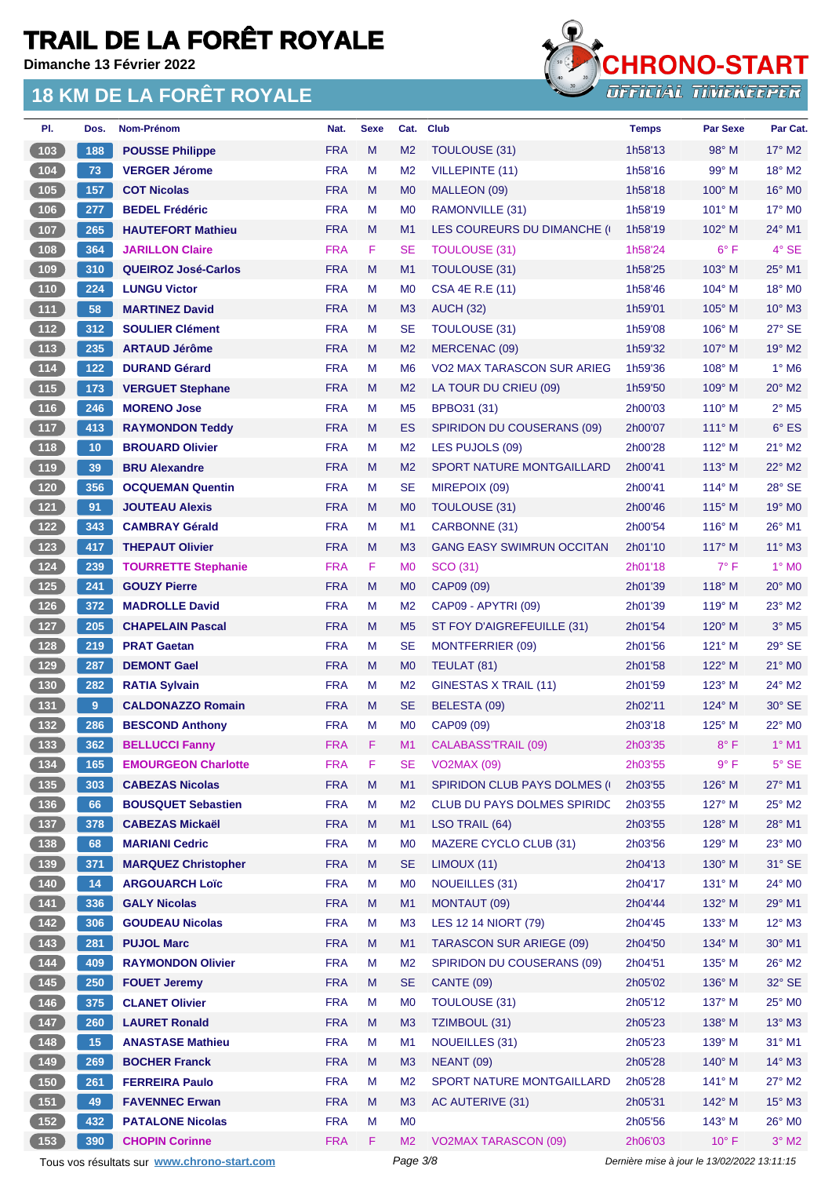**Dimanche 13 Février 2022**



| PI.                                                 | Dos.  | Nom-Prénom                                  | Nat.       | <b>Sexe</b> | Cat.           | <b>Club</b>                          | <b>Temps</b>                                | <b>Par Sexe</b> | Par Cat.                   |
|-----------------------------------------------------|-------|---------------------------------------------|------------|-------------|----------------|--------------------------------------|---------------------------------------------|-----------------|----------------------------|
| 103                                                 | 188   | <b>POUSSE Philippe</b>                      | <b>FRA</b> | M           | M <sub>2</sub> | TOULOUSE (31)                        | 1h58'13                                     | $98^\circ$ M    | $17^\circ$ M2              |
| (104)                                               | 73    | <b>VERGER Jérome</b>                        | <b>FRA</b> | M           | M <sub>2</sub> | <b>VILLEPINTE (11)</b>               | 1h58'16                                     | $99^\circ$ M    | $18^\circ$ M2              |
| (105)                                               | 157   | <b>COT Nicolas</b>                          | <b>FRA</b> | M           | M <sub>0</sub> | MALLEON (09)                         | 1h58'18                                     | $100^\circ$ M   | 16° MO                     |
| $106$                                               | 277   | <b>BEDEL Frédéric</b>                       | <b>FRA</b> | M           | M <sub>0</sub> | RAMONVILLE (31)                      | 1h58'19                                     | $101^\circ$ M   | $17^\circ$ MO              |
| 107                                                 | 265   | <b>HAUTEFORT Mathieu</b>                    | <b>FRA</b> | M           | M <sub>1</sub> | LES COUREURS DU DIMANCHE (           | 1h58'19                                     | $102^\circ$ M   | 24° M1                     |
| 108                                                 | 364   | <b>JARILLON Claire</b>                      | <b>FRA</b> | F           | <b>SE</b>      | <b>TOULOUSE (31)</b>                 | 1h58'24                                     | $6^{\circ}$ F   | $4°$ SE                    |
| (109)                                               | 310   | <b>QUEIROZ José-Carlos</b>                  | <b>FRA</b> | M           | M <sub>1</sub> | <b>TOULOUSE (31)</b>                 | 1h58'25                                     | 103° M          | 25° M1                     |
| $\begin{array}{c} \n \textbf{110} \\ \end{array}$   | 224   | <b>LUNGU Victor</b>                         | <b>FRA</b> | м           | M <sub>0</sub> | CSA 4E R.E (11)                      | 1h58'46                                     | 104° M          | 18° MO                     |
| (111)                                               | 58    | <b>MARTINEZ David</b>                       | <b>FRA</b> | M           | M <sub>3</sub> | <b>AUCH (32)</b>                     | 1h59'01                                     | 105° M          | $10^{\circ}$ M3            |
| (112)                                               | 312   | <b>SOULIER Clément</b>                      | <b>FRA</b> | M           | <b>SE</b>      | <b>TOULOUSE (31)</b>                 | 1h59'08                                     | $106^\circ$ M   | 27° SE                     |
| (113)                                               | 235   | <b>ARTAUD Jérôme</b>                        | <b>FRA</b> | M           | M <sub>2</sub> | MERCENAC (09)                        | 1h59'32                                     | $107^\circ$ M   | 19° M2                     |
| $\boxed{114}$                                       | $122$ | <b>DURAND Gérard</b>                        | <b>FRA</b> | M           | M <sub>6</sub> | VO2 MAX TARASCON SUR ARIEG           | 1h59'36                                     | $108^\circ$ M   | $1^\circ$ M6               |
| (115)                                               | 173   | <b>VERGUET Stephane</b>                     | <b>FRA</b> | M           | M <sub>2</sub> | LA TOUR DU CRIEU (09)                | 1h59'50                                     | $109^\circ$ M   | $20^\circ$ M2              |
| (116)                                               | 246   | <b>MORENO Jose</b>                          | <b>FRA</b> | М           | M <sub>5</sub> | BPBO31 (31)                          | 2h00'03                                     | $110^{\circ}$ M | $2^{\circ}$ M <sub>5</sub> |
| (117)                                               | 413   | <b>RAYMONDON Teddy</b>                      | <b>FRA</b> | M           | ES             | <b>SPIRIDON DU COUSERANS (09)</b>    | 2h00'07                                     | $111^\circ$ M   | $6^{\circ}$ ES             |
| $\boxed{118}$                                       | 10    | <b>BROUARD Olivier</b>                      | <b>FRA</b> | M           | M <sub>2</sub> | LES PUJOLS (09)                      | 2h00'28                                     | $112^{\circ}$ M | $21^{\circ}$ M2            |
| (119)                                               | 39    | <b>BRU Alexandre</b>                        | <b>FRA</b> | M           | M <sub>2</sub> | <b>SPORT NATURE MONTGAILLARD</b>     | 2h00'41                                     | $113^\circ$ M   | 22° M2                     |
| (120)                                               | 356   | <b>OCQUEMAN Quentin</b>                     | <b>FRA</b> | M           | <b>SE</b>      | MIREPOIX (09)                        | 2h00'41                                     | 114° M          | 28° SE                     |
| (121)                                               | 91    | <b>JOUTEAU Alexis</b>                       | <b>FRA</b> | M           | M <sub>0</sub> | TOULOUSE (31)                        | 2h00'46                                     | $115^\circ$ M   | 19° M <sub>0</sub>         |
| $122$                                               | 343   | <b>CAMBRAY Gérald</b>                       | <b>FRA</b> | M           | M <sub>1</sub> | CARBONNE (31)                        | 2h00'54                                     | $116^\circ$ M   | 26° M1                     |
| (123)                                               | 417   | <b>THEPAUT Olivier</b>                      | <b>FRA</b> | M           |                | <b>GANG EASY SWIMRUN OCCITAN</b>     |                                             | $117^\circ$ M   | $11^{\circ}$ M3            |
|                                                     |       |                                             |            |             | M <sub>3</sub> |                                      | 2h01'10                                     |                 |                            |
| $124$                                               | 239   | <b>TOURRETTE Stephanie</b>                  | <b>FRA</b> | F           | M <sub>0</sub> | SCO (31)                             | 2h01'18                                     | $7^{\circ}$ F   | $1°$ MO                    |
| (125)                                               | 241   | <b>GOUZY Pierre</b>                         | <b>FRA</b> | M           | M <sub>0</sub> | CAP09 (09)                           | 2h01'39                                     | $118^\circ$ M   | $20^\circ$ M <sub>0</sub>  |
| $126$                                               | 372   | <b>MADROLLE David</b>                       | <b>FRA</b> | м           | M <sub>2</sub> | CAP09 - APYTRI (09)                  | 2h01'39                                     | 119° M          | $23^\circ$ M2              |
| (127)                                               | 205   | <b>CHAPELAIN Pascal</b>                     | <b>FRA</b> | M           | M <sub>5</sub> | ST FOY D'AIGREFEUILLE (31)           | 2h01'54                                     | $120^\circ$ M   | $3°$ M <sub>5</sub>        |
| 128                                                 | 219   | <b>PRAT Gaetan</b>                          | <b>FRA</b> | M           | <b>SE</b>      | <b>MONTFERRIER (09)</b>              | 2h01'56                                     | $121^\circ$ M   | $29^\circ$ SE              |
| $129$                                               | 287   | <b>DEMONT Gael</b>                          | <b>FRA</b> | M           | M <sub>0</sub> | TEULAT (81)                          | 2h01'58                                     | $122^{\circ}$ M | 21° MO                     |
| (130)                                               | 282   | <b>RATIA Sylvain</b>                        | <b>FRA</b> | M           | M <sub>2</sub> | <b>GINESTAS X TRAIL (11)</b>         | 2h01'59                                     | $123^\circ$ M   | $24^{\circ}$ M2            |
| (131)                                               | 9     | <b>CALDONAZZO Romain</b>                    | <b>FRA</b> | M           | <b>SE</b>      | BELESTA (09)                         | 2h02'11                                     | $124^\circ$ M   | 30° SE                     |
| $132$                                               | 286   | <b>BESCOND Anthony</b>                      | <b>FRA</b> | M           | M <sub>0</sub> | CAP09 (09)                           | 2h03'18                                     | 125° M          | 22° MO                     |
| (133)                                               | 362   | <b>BELLUCCI Fanny</b>                       | <b>FRA</b> | F           | M1             | <b>CALABASS'TRAIL (09)</b>           | 2h03'35                                     | $8^{\circ}$ F   | $1°$ M1                    |
| $134$                                               | 165   | <b>EMOURGEON Charlotte</b>                  | <b>FRA</b> | F           | <b>SE</b>      | <b>VO2MAX (09)</b>                   | 2h03'55                                     | 9° F            | $5^\circ$ SE               |
| (135)                                               | 303   | <b>CABEZAS Nicolas</b>                      | <b>FRA</b> | M           | M1             | <b>SPIRIDON CLUB PAYS DOLMES (I)</b> | 2h03'55                                     | 126° M          | 27° M1                     |
| $136$                                               | 66    | <b>BOUSQUET Sebastien</b>                   | <b>FRA</b> | M           | M <sub>2</sub> | <b>CLUB DU PAYS DOLMES SPIRIDC</b>   | 2h03'55                                     | 127° M          | $25^{\circ}$ M2            |
| (137)                                               | 378   | <b>CABEZAS Mickaël</b>                      | <b>FRA</b> | M           | M <sub>1</sub> | LSO TRAIL (64)                       | 2h03'55                                     | 128° M          | 28° M1                     |
| (138)                                               | 68    | <b>MARIANI Cedric</b>                       | <b>FRA</b> | M           | M <sub>0</sub> | MAZERE CYCLO CLUB (31)               | 2h03'56                                     | 129° M          | 23° M0                     |
| (139)                                               | 371   | <b>MARQUEZ Christopher</b>                  | <b>FRA</b> | M           | <b>SE</b>      | LIMOUX (11)                          | 2h04'13                                     | 130° M          | $31^\circ$ SE              |
| $\begin{array}{c} \hline 140 \end{array}$           | 14    | <b>ARGOUARCH Loïc</b>                       | <b>FRA</b> | M           | M <sub>0</sub> | <b>NOUEILLES (31)</b>                | 2h04'17                                     | 131° M          | 24° MO                     |
| (141)                                               | 336   | <b>GALY Nicolas</b>                         | <b>FRA</b> | M           | M1             | MONTAUT (09)                         | 2h04'44                                     | 132° M          | 29° M1                     |
| (142)                                               | 306   | <b>GOUDEAU Nicolas</b>                      | <b>FRA</b> | M           | M <sub>3</sub> | <b>LES 12 14 NIORT (79)</b>          | 2h04'45                                     | 133° M          | $12^{\circ}$ M3            |
| 143                                                 | 281   | <b>PUJOL Marc</b>                           | <b>FRA</b> | M           | M1             | <b>TARASCON SUR ARIEGE (09)</b>      | 2h04'50                                     | 134° M          | 30° M1                     |
| $\boxed{144}$                                       | 409   | <b>RAYMONDON Olivier</b>                    | <b>FRA</b> | M           | M <sub>2</sub> | SPIRIDON DU COUSERANS (09)           | 2h04'51                                     | $135^\circ$ M   | $26^{\circ}$ M2            |
| (145)                                               | 250   | <b>FOUET Jeremy</b>                         | <b>FRA</b> | M           | <b>SE</b>      | <b>CANTE (09)</b>                    | 2h05'02                                     | 136° M          | 32° SE                     |
| 146                                                 | 375   | <b>CLANET Olivier</b>                       | <b>FRA</b> | M           | M <sub>0</sub> | <b>TOULOUSE (31)</b>                 | 2h05'12                                     | 137° M          | 25° M0                     |
| (147)                                               | 260   | <b>LAURET Ronald</b>                        | <b>FRA</b> | M           | M <sub>3</sub> | TZIMBOUL (31)                        | 2h05'23                                     | $138^\circ$ M   | $13^\circ$ M3              |
| $148$                                               | 15    | <b>ANASTASE Mathieu</b>                     | <b>FRA</b> | М           | M <sub>1</sub> | <b>NOUEILLES (31)</b>                | 2h05'23                                     | $139^\circ$ M   | 31° M1                     |
| (149)                                               | 269   | <b>BOCHER Franck</b>                        | <b>FRA</b> | M           | M <sub>3</sub> | <b>NEANT (09)</b>                    | 2h05'28                                     | 140° M          | $14^{\circ}$ M3            |
| 150                                                 | 261   | <b>FERREIRA Paulo</b>                       | <b>FRA</b> | M           | M <sub>2</sub> | SPORT NATURE MONTGAILLARD            | 2h05'28                                     | $141^\circ$ M   | $27^\circ$ M2              |
| (151)                                               | 49    | <b>FAVENNEC Erwan</b>                       | <b>FRA</b> | M           | M <sub>3</sub> | AC AUTERIVE (31)                     | 2h05'31                                     | 142° M          | $15^\circ$ M3              |
| $\begin{array}{c} \hline 152 \\ \hline \end{array}$ | 432   | <b>PATALONE Nicolas</b>                     | <b>FRA</b> | M           | M <sub>0</sub> |                                      | 2h05'56                                     | $143^\circ$ M   | 26° MO                     |
| (153)                                               | 390   | <b>CHOPIN Corinne</b>                       | <b>FRA</b> | F           | M <sub>2</sub> | <b>VO2MAX TARASCON (09)</b>          | 2h06'03                                     | $10^{\circ}$ F  | $3^\circ$ M2               |
|                                                     |       | Tous vos résultats sur www.chrono-start.com |            |             | Page 3/8       |                                      | Dernière mise à jour le 13/02/2022 13:11:15 |                 |                            |
|                                                     |       |                                             |            |             |                |                                      |                                             |                 |                            |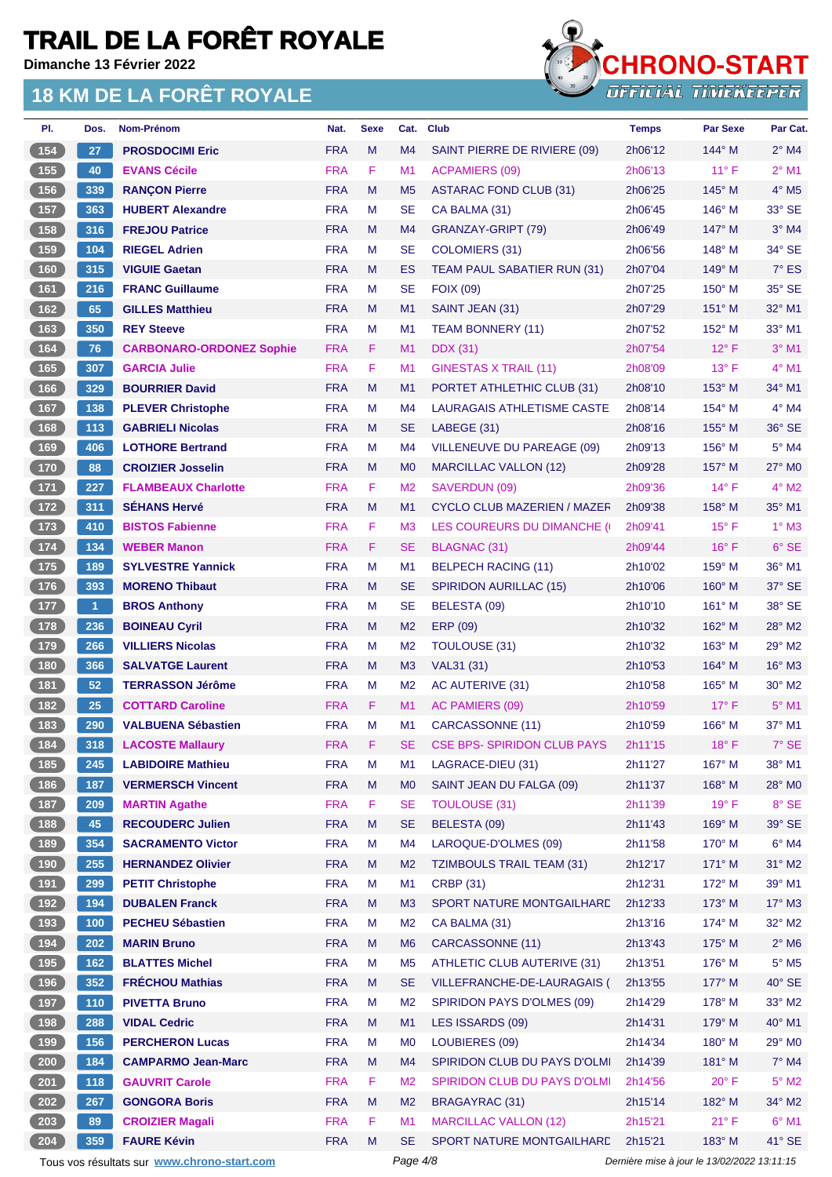**Dimanche 13 Février 2022**

#### **18 KM DE LA FORÊT ROYALE**



| PI.                                       | Dos.                 | Nom-Prénom                      | Nat.       | <b>Sexe</b> | Cat.           | <b>Club</b>                        | <b>Temps</b> | <b>Par Sexe</b> | Par Cat.                 |
|-------------------------------------------|----------------------|---------------------------------|------------|-------------|----------------|------------------------------------|--------------|-----------------|--------------------------|
| 154                                       | 27                   | <b>PROSDOCIMI Eric</b>          | <b>FRA</b> | M           | M4             | SAINT PIERRE DE RIVIERE (09)       | 2h06'12      | $144^\circ$ M   | $2^{\circ}$ M4           |
| (155)                                     | 40                   | <b>EVANS Cécile</b>             | <b>FRA</b> | F           | M1             | <b>ACPAMIERS (09)</b>              | 2h06'13      | $11^{\circ}$ F  | $2^{\circ}$ M1           |
| (156)                                     | 339                  | <b>RANÇON Pierre</b>            | <b>FRA</b> | M           | M <sub>5</sub> | <b>ASTARAC FOND CLUB (31)</b>      | 2h06'25      | $145^\circ$ M   | $4^\circ$ M <sub>5</sub> |
| $157$                                     | 363                  | <b>HUBERT Alexandre</b>         | <b>FRA</b> | М           | <b>SE</b>      | CA BALMA (31)                      | 2h06'45      | $146^\circ$ M   | 33° SE                   |
| (158)                                     | 316                  | <b>FREJOU Patrice</b>           | <b>FRA</b> | M           | M4             | GRANZAY-GRIPT (79)                 | 2h06'49      | 147° M          | $3°$ M4                  |
| (159)                                     | 104                  | <b>RIEGEL Adrien</b>            | <b>FRA</b> | М           | <b>SE</b>      | COLOMIERS (31)                     | 2h06'56      | $148^\circ$ M   | 34° SE                   |
| (160)                                     | 315                  | <b>VIGUIE Gaetan</b>            | <b>FRA</b> | M           | ES             | TEAM PAUL SABATIER RUN (31)        | 2h07'04      | $149^\circ$ M   | $7^\circ$ ES             |
| (161)                                     | 216                  | <b>FRANC Guillaume</b>          | <b>FRA</b> | М           | <b>SE</b>      | <b>FOIX (09)</b>                   | 2h07'25      | $150^\circ$ M   | $35^\circ$ SE            |
| (162)                                     | 65                   | <b>GILLES Matthieu</b>          | <b>FRA</b> | M           | M1             | SAINT JEAN (31)                    | 2h07'29      | $151^\circ$ M   | 32° M1                   |
| (163)                                     | 350                  | <b>REY Steeve</b>               | <b>FRA</b> | М           | M1             | <b>TEAM BONNERY (11)</b>           | 2h07'52      | 152° M          | 33° M1                   |
| (164)                                     | 76                   | <b>CARBONARO-ORDONEZ Sophie</b> | <b>FRA</b> | F.          | M1             | <b>DDX</b> (31)                    | 2h07'54      | $12^{\circ}$ F  | $3°$ M1                  |
| (165)                                     | 307                  | <b>GARCIA Julie</b>             | <b>FRA</b> | F           | M1             | <b>GINESTAS X TRAIL (11)</b>       | 2h08'09      | $13^{\circ}$ F  | 4° M1                    |
| (166)                                     | 329                  | <b>BOURRIER David</b>           | <b>FRA</b> | M           | M1             | PORTET ATHLETHIC CLUB (31)         | 2h08'10      | $153^\circ$ M   | $34^\circ$ M1            |
| (167)                                     | 138                  | <b>PLEVER Christophe</b>        | <b>FRA</b> | М           | M4             | LAURAGAIS ATHLETISME CASTE         | 2h08'14      | 154° M          | $4^\circ$ M4             |
| 168                                       | 113                  | <b>GABRIELI Nicolas</b>         | <b>FRA</b> | M           | <b>SE</b>      | LABEGE (31)                        | 2h08'16      | $155^\circ$ M   | $36^\circ$ SE            |
| 169                                       | 406                  | <b>LOTHORE Bertrand</b>         | <b>FRA</b> | М           | M4             | <b>VILLENEUVE DU PAREAGE (09)</b>  | 2h09'13      | $156^\circ$ M   | 5° M4                    |
| (170)                                     | 88                   | <b>CROIZIER Josselin</b>        | <b>FRA</b> | M           | M <sub>0</sub> | <b>MARCILLAC VALLON (12)</b>       | 2h09'28      | $157^\circ$ M   | $27^\circ$ MO            |
| $\overline{171}$                          | 227                  | <b>FLAMBEAUX Charlotte</b>      | <b>FRA</b> | F           | M <sub>2</sub> | SAVERDUN (09)                      | 2h09'36      | $14^{\circ}$ F  | $4^{\circ}$ M2           |
| (172)                                     | 311                  | <b>SEHANS Hervé</b>             | <b>FRA</b> | M           | M <sub>1</sub> | <b>CYCLO CLUB MAZERIEN / MAZER</b> | 2h09'38      | $158^\circ$ M   | $35^{\circ}$ M1          |
| (173)                                     | 410                  | <b>BISTOS Fabienne</b>          | <b>FRA</b> | F.          | M <sub>3</sub> | LES COUREURS DU DIMANCHE (0)       | 2h09'41      | $15^{\circ}$ F  | $1^\circ$ M3             |
| (174)                                     | 134                  | <b>WEBER Manon</b>              | <b>FRA</b> | F           | <b>SE</b>      | BLAGNAC (31)                       | 2h09'44      | $16^{\circ}$ F  | 6° SE                    |
| $-175$                                    | 189                  | <b>SYLVESTRE Yannick</b>        | <b>FRA</b> | М           | M <sub>1</sub> | <b>BELPECH RACING (11)</b>         | 2h10'02      | $159^\circ$ M   | 36° M1                   |
| (176)                                     | 393                  | <b>MORENO Thibaut</b>           | <b>FRA</b> | M           | <b>SE</b>      | SPIRIDON AURILLAC (15)             | 2h10'06      | $160^\circ$ M   | 37° SE                   |
| $\overline{177}$                          | $\blacktriangleleft$ | <b>BROS Anthony</b>             | <b>FRA</b> | М           | <b>SE</b>      | BELESTA (09)                       | 2h10'10      | $161^\circ$ M   | $38^\circ$ SE            |
| (178)                                     | 236                  | <b>BOINEAU Cyril</b>            | <b>FRA</b> | M           | M <sub>2</sub> | ERP (09)                           | 2h10'32      | 162° M          | 28° M2                   |
| (179)                                     | 266                  | <b>VILLIERS Nicolas</b>         | <b>FRA</b> | М           | M <sub>2</sub> | <b>TOULOUSE (31)</b>               | 2h10'32      | $163^\circ$ M   | 29° M2                   |
| (180)                                     | 366                  | <b>SALVATGE Laurent</b>         | <b>FRA</b> | M           | M3             | VAL31 (31)                         | 2h10'53      | $164^\circ$ M   | 16° M3                   |
| (181)                                     | 52                   | <b>TERRASSON Jérôme</b>         | <b>FRA</b> | М           | M <sub>2</sub> | AC AUTERIVE (31)                   | 2h10'58      | $165^\circ$ M   | $30^\circ$ M2            |
| (182)                                     | 25                   | <b>COTTARD Caroline</b>         | <b>FRA</b> | F.          | M1             | AC PAMIERS (09)                    | 2h10'59      | $17^{\circ}$ F  | $5^\circ$ M1             |
| 183                                       | 290                  | <b>VALBUENA Sébastien</b>       | <b>FRA</b> | M           | M <sub>1</sub> | CARCASSONNE (11)                   | 2h10'59      | $166^\circ$ M   | 37° M1                   |
| (184)                                     | 318                  | <b>LACOSTE Mallaury</b>         | <b>FRA</b> | F           | <b>SE</b>      | <b>CSE BPS- SPIRIDON CLUB PAYS</b> | 2h11'15      | $18^{\circ}$ F  | 7° SE                    |
| (185)                                     | 245                  | <b>LABIDOIRE Mathieu</b>        | <b>FRA</b> | M           | M1             | LAGRACE-DIEU (31)                  | 2h11'27      | 167° M          | 38° M1                   |
| 186                                       | 187                  | <b>VERMERSCH Vincent</b>        | <b>FRA</b> | M           | M <sub>0</sub> | SAINT JEAN DU FALGA (09)           | 2h11'37      | 168° M          | 28° MO                   |
| (187)                                     | 209                  | <b>MARTIN Agathe</b>            | <b>FRA</b> | F           | <b>SE</b>      | <b>TOULOUSE (31)</b>               | 2h11'39      | $19°$ F         | 8° SE                    |
| (188)                                     | 45                   | <b>RECOUDERC Julien</b>         | <b>FRA</b> | M           | <b>SE</b>      | BELESTA (09)                       | 2h11'43      | 169° M          | $39^\circ$ SE            |
| $\begin{array}{c} \hline 189 \end{array}$ | 354                  | <b>SACRAMENTO Victor</b>        | <b>FRA</b> | M           | M4             | LAROQUE-D'OLMES (09)               | 2h11'58      | $170^\circ$ M   | $6^\circ$ M4             |
| (190)                                     | 255                  | <b>HERNANDEZ Olivier</b>        | <b>FRA</b> | M           | M <sub>2</sub> | <b>TZIMBOULS TRAIL TEAM (31)</b>   | 2h12'17      | $171^\circ$ M   | 31° M2                   |
| (191)                                     | 299                  | <b>PETIT Christophe</b>         | <b>FRA</b> | M           | M1             | <b>CRBP (31)</b>                   | 2h12'31      | 172° M          | 39° M1                   |
| (192)                                     | 194                  | <b>DUBALEN Franck</b>           | <b>FRA</b> | M           | M <sub>3</sub> | SPORT NATURE MONTGAILHARD          | 2h12'33      | 173° M          | $17^\circ$ M3            |
| (193)                                     | 100                  | <b>PECHEU Sébastien</b>         | <b>FRA</b> | M           | M <sub>2</sub> | CA BALMA (31)                      | 2h13'16      | 174° M          | $32^\circ$ M2            |
| (194)                                     | 202                  | <b>MARIN Bruno</b>              | <b>FRA</b> | M           | M <sub>6</sub> | CARCASSONNE (11)                   | 2h13'43      | $175^\circ$ M   | $2^\circ$ M6             |
| (195)                                     | 162                  | <b>BLATTES Michel</b>           | <b>FRA</b> | М           | M <sub>5</sub> | ATHLETIC CLUB AUTERIVE (31)        | 2h13'51      | $176^\circ$ M   | $5^\circ$ M5             |
| (196)                                     | 352                  | <b>FRÉCHOU Mathias</b>          | <b>FRA</b> | M           | <b>SE</b>      | VILLEFRANCHE-DE-LAURAGAIS (        | 2h13'55      | 177° M          | $40^{\circ}$ SE          |
| 197                                       | $110$                | <b>PIVETTA Bruno</b>            | <b>FRA</b> | M           | M <sub>2</sub> | SPIRIDON PAYS D'OLMES (09)         | 2h14'29      | 178° M          | $33^\circ$ M2            |
| (198)                                     | 288                  | <b>VIDAL Cedric</b>             | <b>FRA</b> | M           | M1             | LES ISSARDS (09)                   | 2h14'31      | $179^\circ$ M   | 40° M1                   |
| $\begin{array}{c} \hline 199 \end{array}$ | 156                  | <b>PERCHERON Lucas</b>          | <b>FRA</b> | М           | M <sub>0</sub> | LOUBIERES (09)                     | 2h14'34      | $180^\circ$ M   | 29° M0                   |
| $\sqrt{200}$                              | 184                  | <b>CAMPARMO Jean-Marc</b>       | <b>FRA</b> | M           | M4             | SPIRIDON CLUB DU PAYS D'OLMI       | 2h14'39      | $181^\circ$ M   | $7°$ M4                  |
| 201                                       | 118                  | <b>GAUVRIT Carole</b>           | <b>FRA</b> | F           | M <sub>2</sub> | SPIRIDON CLUB DU PAYS D'OLMI       | 2h14'56      | $20^{\circ}$ F  | $5^\circ$ M2             |
| $\sqrt{202}$                              | 267                  | <b>GONGORA Boris</b>            | <b>FRA</b> | M           | M <sub>2</sub> | <b>BRAGAYRAC (31)</b>              | 2h15'14      | 182° M          | $34^\circ$ M2            |
| 203                                       | 89                   | <b>CROIZIER Magali</b>          | <b>FRA</b> | F           | M1             | <b>MARCILLAC VALLON (12)</b>       | 2h15'21      | $21^{\circ}$ F  | $6^\circ$ M1             |
| 204                                       | 359                  | <b>FAURE Kévin</b>              | <b>FRA</b> | M           | <b>SE</b>      | SPORT NATURE MONTGAILHARD          | 2h15'21      | 183° M          | 41° SE                   |

Tous vos résultats sur **[www.chrono-start.com](https://www.chrono-start.com/)** Page 4/8 Page 4/8 Dernière mise à jour le 13/02/2022 13:11:15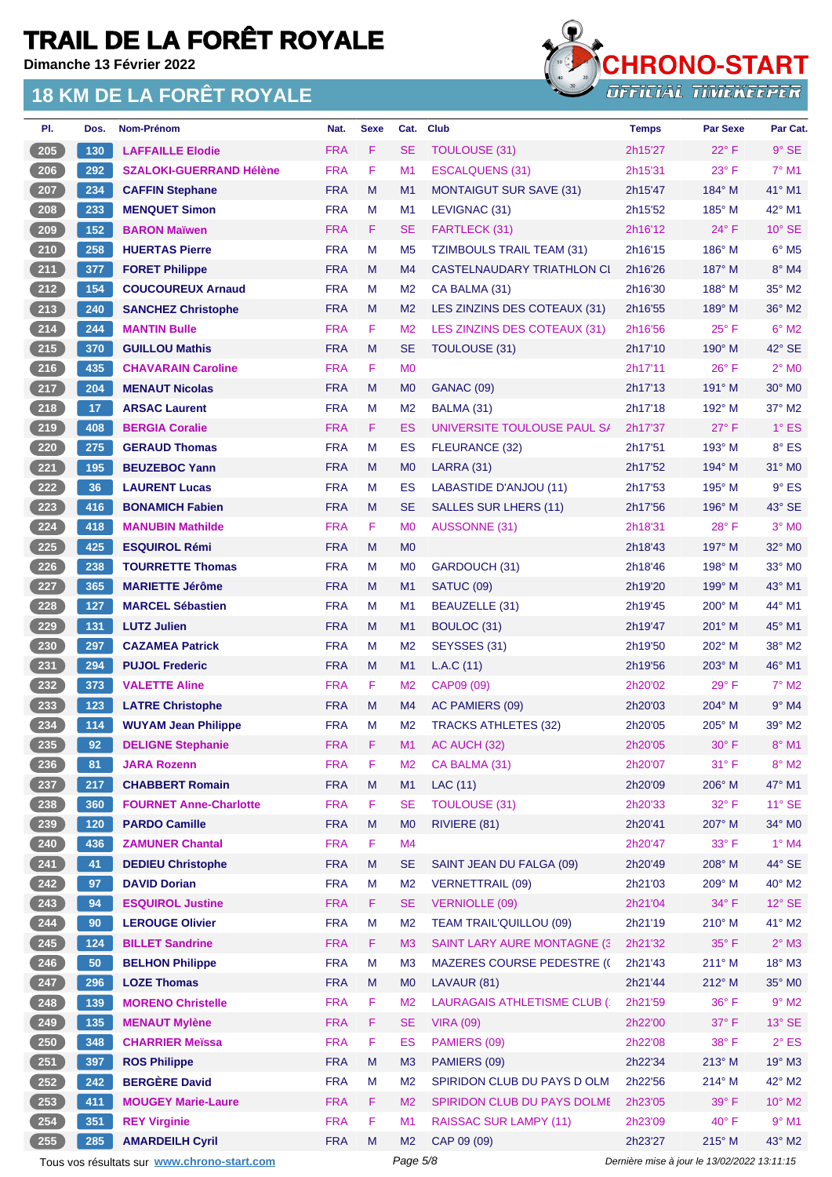**Dimanche 13 Février 2022**

#### **18 KM DE LA FORÊT ROYALE**



| Dos. | Nom-Prénom                     | Nat.       | <b>Sexe</b> | Cat.           | <b>Club</b>                         | <b>Temps</b> | <b>Par Sexe</b> | Par Cat.                   |
|------|--------------------------------|------------|-------------|----------------|-------------------------------------|--------------|-----------------|----------------------------|
| 130  | <b>LAFFAILLE Elodie</b>        | <b>FRA</b> | F           | <b>SE</b>      | <b>TOULOUSE (31)</b>                | 2h15'27      | $22^{\circ}$ F  | $9°$ SE                    |
| 292  | <b>SZALOKI-GUERRAND Hélène</b> | <b>FRA</b> | F           | M <sub>1</sub> | <b>ESCALQUENS (31)</b>              | 2h15'31      | $23^{\circ}$ F  | $7°$ M1                    |
| 234  | <b>CAFFIN Stephane</b>         | <b>FRA</b> | M           | M1             | <b>MONTAIGUT SUR SAVE (31)</b>      | 2h15'47      | 184° M          | 41° M1                     |
| 233  | <b>MENQUET Simon</b>           | <b>FRA</b> | M           | M1             | LEVIGNAC (31)                       | 2h15'52      | $185^\circ$ M   | 42° M1                     |
| 152  | <b>BARON Maïwen</b>            | <b>FRA</b> | F           | <b>SE</b>      | FARTLECK (31)                       | 2h16'12      | $24^{\circ}$ F  | $10^{\circ}$ SE            |
| 258  | <b>HUERTAS Pierre</b>          | <b>FRA</b> | M           | M <sub>5</sub> | <b>TZIMBOULS TRAIL TEAM (31)</b>    | 2h16'15      | 186° M          | $6^{\circ}$ M <sub>5</sub> |
| 377  | <b>FORET Philippe</b>          | <b>FRA</b> | M           | M <sub>4</sub> | CASTELNAUDARY TRIATHLON CI          | 2h16'26      | $187^\circ$ M   | 8° M4                      |
| 154  | <b>COUCOUREUX Arnaud</b>       | <b>FRA</b> | M           | M <sub>2</sub> | CA BALMA (31)                       | 2h16'30      | $188^\circ$ M   | 35° M2                     |
| 240  | <b>SANCHEZ Christophe</b>      | <b>FRA</b> | M           | M <sub>2</sub> | LES ZINZINS DES COTEAUX (31)        | 2h16'55      | $189^\circ$ M   | $36^\circ$ M2              |
| 244  | <b>MANTIN Bulle</b>            | <b>FRA</b> | F           | M <sub>2</sub> | LES ZINZINS DES COTEAUX (31)        | 2h16'56      | $25^{\circ}$ F  | $6°$ M2                    |
| 370  | <b>GUILLOU Mathis</b>          | <b>FRA</b> | M           | <b>SE</b>      | TOULOUSE (31)                       | 2h17'10      | $190^\circ$ M   | $42^{\circ}$ SE            |
| 435  | <b>CHAVARAIN Caroline</b>      | <b>FRA</b> | F           | M <sub>0</sub> |                                     | 2h17'11      | $26^{\circ}$ F  | $2^{\circ}$ MO             |
| 204  | <b>MENAUT Nicolas</b>          | <b>FRA</b> | M           | M <sub>0</sub> | <b>GANAC (09)</b>                   | 2h17'13      | $191^\circ$ M   | 30° M0                     |
| 17   | <b>ARSAC Laurent</b>           | <b>FRA</b> | M           | M <sub>2</sub> | BALMA (31)                          | 2h17'18      | 192° M          | $37^\circ$ M2              |
| 408  | <b>BERGIA Coralie</b>          | <b>FRA</b> | F           | ES             | UNIVERSITE TOULOUSE PAUL S/         | 2h17'37      | $27^\circ$ F    | $1^\circ$ ES               |
| 275  | <b>GERAUD Thomas</b>           | <b>FRA</b> | M           | ES             | FLEURANCE (32)                      | 2h17'51      | $193^\circ$ M   | 8° ES                      |
| 195  | <b>BEUZEBOC Yann</b>           | <b>FRA</b> | M           | M <sub>0</sub> | <b>LARRA (31)</b>                   | 2h17'52      | 194° M          | 31° MO                     |
| 36   | <b>LAURENT Lucas</b>           | <b>FRA</b> | M           | ES             | <b>LABASTIDE D'ANJOU (11)</b>       | 2h17'53      | 195° M          | $9°$ ES                    |
| 416  | <b>BONAMICH Fabien</b>         | <b>FRA</b> | M           | <b>SE</b>      | <b>SALLES SUR LHERS (11)</b>        | 2h17'56      | $196^\circ$ M   | $43^\circ$ SE              |
| 418  | <b>MANUBIN Mathilde</b>        | <b>FRA</b> | F           | M <sub>0</sub> | AUSSONNE (31)                       | 2h18'31      | $28^{\circ}$ F  | $3°$ MO                    |
| 425  | <b>ESQUIROL Rémi</b>           | <b>FRA</b> | M           | M <sub>0</sub> |                                     | 2h18'43      | $197^\circ$ M   | 32° M0                     |
|      | <b>TOURRETTE Thomas</b>        | <b>FRA</b> | M           | M <sub>0</sub> | GARDOUCH (31)                       | 2h18'46      | $198^\circ$ M   | 33° MO                     |
| 365  | <b>MARIETTE Jérôme</b>         | <b>FRA</b> | M           | M1             | <b>SATUC (09)</b>                   | 2h19'20      | $199^\circ$ M   | 43° M1                     |
|      | <b>MARCEL Sébastien</b>        | <b>FRA</b> | M           | M <sub>1</sub> | BEAUZELLE (31)                      | 2h19'45      | $200^\circ$ M   | 44° M1                     |
|      | <b>LUTZ Julien</b>             | <b>FRA</b> | M           | M1             | BOULOC (31)                         | 2h19'47      | 201° M          | $45^{\circ}$ M1            |
| 297  | <b>CAZAMEA Patrick</b>         | <b>FRA</b> | M           | M <sub>2</sub> | SEYSSES (31)                        | 2h19'50      | $202^\circ$ M   | 38° M2                     |
| 294  | <b>PUJOL Frederic</b>          | <b>FRA</b> | M           | M1             | L.A.C(11)                           | 2h19'56      | $203^\circ$ M   | 46° M1                     |
| 373  | <b>VALETTE Aline</b>           | <b>FRA</b> | F           | M <sub>2</sub> | CAP09 (09)                          | 2h20'02      | $29°$ F         | $7^\circ$ M2               |
| 123  | <b>LATRE Christophe</b>        | <b>FRA</b> | M           | M4             | AC PAMIERS (09)                     | 2h20'03      | $204^\circ$ M   | $9°$ M4                    |
| 114  | <b>WUYAM Jean Philippe</b>     | <b>FRA</b> | M           | M <sub>2</sub> | <b>TRACKS ATHLETES (32)</b>         | 2h20'05      | 205° M          | 39° M2                     |
| 92   | <b>DELIGNE Stephanie</b>       | <b>FRA</b> | F           | M1             | AC AUCH (32)                        | 2h20'05      | $30^\circ$ F    | $8^{\circ}$ M1             |
| 81   | <b>JARA Rozenn</b>             | <b>FRA</b> | F           | M <sub>2</sub> | CA BALMA (31)                       | 2h20'07      | 31° F           | $8^\circ$ M2               |
| 217  | <b>CHABBERT Romain</b>         | <b>FRA</b> | M           | M1             | <b>LAC (11)</b>                     | 2h20'09      | 206° M          | 47° M1                     |
| 360  | <b>FOURNET Anne-Charlotte</b>  | <b>FRA</b> | F           | <b>SE</b>      | <b>TOULOUSE (31)</b>                | 2h20'33      | 32° F           | $11^\circ$ SE              |
| 120  | <b>PARDO Camille</b>           | <b>FRA</b> | M           | M <sub>0</sub> | RIVIERE (81)                        | 2h20'41      | 207° M          | 34° MO                     |
| 436  | <b>ZAMUNER Chantal</b>         | <b>FRA</b> | F           | M4             |                                     | 2h20'47      | $33^\circ$ F    | $1^\circ$ M4               |
| 41   | <b>DEDIEU Christophe</b>       | <b>FRA</b> | M           | <b>SE</b>      | SAINT JEAN DU FALGA (09)            | 2h20'49      | 208° M          | 44° SE                     |
| 97   | <b>DAVID Dorian</b>            | <b>FRA</b> | M           | M <sub>2</sub> | <b>VERNETTRAIL (09)</b>             | 2h21'03      | $209^\circ$ M   | 40° M2                     |
| 94   | <b>ESQUIROL Justine</b>        | <b>FRA</b> | F           | <b>SE</b>      | <b>VERNIOLLE (09)</b>               | 2h21'04      | $34^{\circ}$ F  | $12^{\circ}$ SE            |
| 90   | <b>LEROUGE Olivier</b>         | <b>FRA</b> | M           | M <sub>2</sub> | <b>TEAM TRAIL'QUILLOU (09)</b>      | 2h21'19      | 210° M          | 41° M2                     |
| 124  | <b>BILLET Sandrine</b>         | <b>FRA</b> | F           | M <sub>3</sub> | <b>SAINT LARY AURE MONTAGNE (3)</b> | 2h21'32      | $35^{\circ}$ F  | $2^{\circ}$ M3             |
| 50   | <b>BELHON Philippe</b>         | <b>FRA</b> | M           | M <sub>3</sub> | <b>MAZERES COURSE PEDESTRE (C</b>   | 2h21'43      | $211^\circ$ M   | 18° M3                     |
| 296  | <b>LOZE Thomas</b>             | <b>FRA</b> | M           | M <sub>0</sub> | LAVAUR (81)                         | 2h21'44      | $212^{\circ}$ M | 35° MO                     |
| 139  | <b>MORENO Christelle</b>       | <b>FRA</b> | F           | M <sub>2</sub> | LAURAGAIS ATHLETISME CLUB (1        | 2h21'59      | $36^{\circ}$ F  | $9°$ M2                    |
| 135  | <b>MENAUT Mylène</b>           | <b>FRA</b> | F           | <b>SE</b>      | <b>VIRA (09)</b>                    | 2h22'00      | $37^\circ$ F    | 13° SE                     |
| 348  | <b>CHARRIER Meïssa</b>         | <b>FRA</b> | F           | <b>ES</b>      | PAMIERS (09)                        | 2h22'08      | 38°F            | $2^{\circ}$ ES             |
| 397  | <b>ROS Philippe</b>            | <b>FRA</b> | M           | M <sub>3</sub> | PAMIERS (09)                        | 2h22'34      | $213^\circ$ M   | 19° M3                     |
| 242  | <b>BERGÈRE David</b>           | <b>FRA</b> | M           | M <sub>2</sub> | SPIRIDON CLUB DU PAYS D OLM         | 2h22'56      | 214° M          | 42° M2                     |
| 411  | <b>MOUGEY Marie-Laure</b>      | <b>FRA</b> | F           | M <sub>2</sub> | SPIRIDON CLUB DU PAYS DOLME         | 2h23'05      | 39° F           | $10^{\circ}$ M2            |
| 351  | <b>REY Virginie</b>            | <b>FRA</b> | F           | M <sub>1</sub> | <b>RAISSAC SUR LAMPY (11)</b>       | 2h23'09      | 40°F            | $9°$ M1                    |
| 285  | <b>AMARDEILH Cyril</b>         | <b>FRA</b> | M           | M <sub>2</sub> | CAP 09 (09)                         | 2h23'27      | $215^\circ$ M   | 43° M2                     |
|      | 238<br>127<br>131              |            |             |                |                                     |              |                 |                            |

Tous vos résultats sur **[www.chrono-start.com](https://www.chrono-start.com/)** Page 5/8 Page 5/8 Dernière mise à jour le 13/02/2022 13:11:15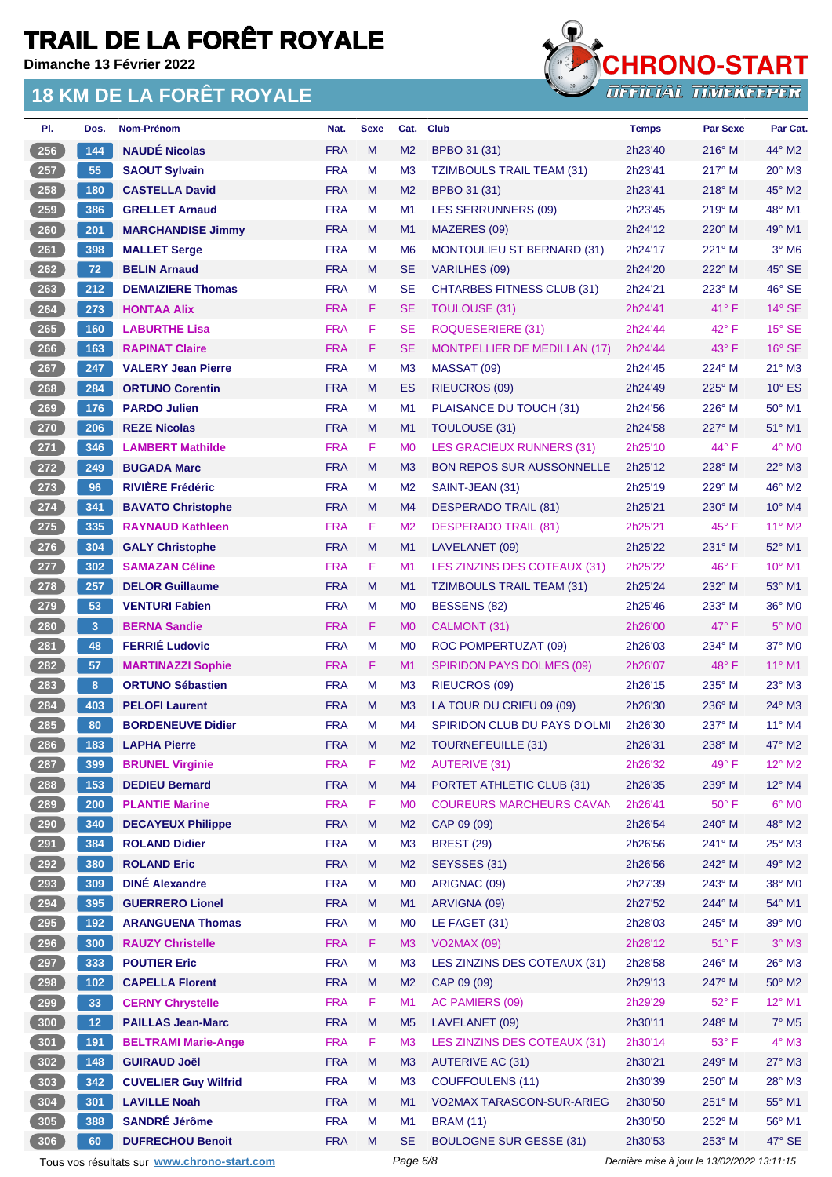**Dimanche 13 Février 2022**

#### **18 KM DE LA FORÊT ROYALE**



| PI.                          | Dos.            | Nom-Prénom                  | Nat.       | <b>Sexe</b> | Cat.           | <b>Club</b>                         | <b>Temps</b> | <b>Par Sexe</b> | Par Cat.                 |
|------------------------------|-----------------|-----------------------------|------------|-------------|----------------|-------------------------------------|--------------|-----------------|--------------------------|
| 256                          | 144             | <b>NAUDÉ Nicolas</b>        | <b>FRA</b> | M           | M <sub>2</sub> | BPBO 31 (31)                        | 2h23'40      | $216^\circ$ M   | 44° M2                   |
| 257                          | 55              | <b>SAOUT Sylvain</b>        | <b>FRA</b> | M           | M <sub>3</sub> | <b>TZIMBOULS TRAIL TEAM (31)</b>    | 2h23'41      | 217° M          | 20° M3                   |
| $\overline{258}$             | 180             | <b>CASTELLA David</b>       | <b>FRA</b> | M           | M <sub>2</sub> | BPBO 31 (31)                        | 2h23'41      | $218^\circ$ M   | 45° M2                   |
| 259                          | 386             | <b>GRELLET Arnaud</b>       | <b>FRA</b> | м           | M1             | <b>LES SERRUNNERS (09)</b>          | 2h23'45      | $219^\circ$ M   | 48° M1                   |
| 260                          | 201             | <b>MARCHANDISE Jimmy</b>    | <b>FRA</b> | M           | M <sub>1</sub> | MAZERES (09)                        | 2h24'12      | 220° M          | 49° M1                   |
| $261$                        | 398             | <b>MALLET Serge</b>         | <b>FRA</b> | M           | M <sub>6</sub> | <b>MONTOULIEU ST BERNARD (31)</b>   | 2h24'17      | $221^\circ$ M   | $3°$ M6                  |
| 262                          | 72              | <b>BELIN Arnaud</b>         | <b>FRA</b> | M           | <b>SE</b>      | VARILHES (09)                       | 2h24'20      | 222° M          | 45° SE                   |
| $263$                        | 212             | <b>DEMAIZIERE Thomas</b>    | <b>FRA</b> | M           | <b>SE</b>      | <b>CHTARBES FITNESS CLUB (31)</b>   | 2h24'21      | 223° M          | 46° SE                   |
| $264$                        | 273             | <b>HONTAA Alix</b>          | <b>FRA</b> | F           | <b>SE</b>      | TOULOUSE (31)                       | 2h24'41      | $41^{\circ}$ F  | $14^\circ$ SE            |
| $265$                        | 160             | <b>LABURTHE Lisa</b>        | <b>FRA</b> | F           | <b>SE</b>      | ROQUESERIERE (31)                   | 2h24'44      | $42^{\circ}$ F  | $15^\circ$ SE            |
| 266                          | 163             | <b>RAPINAT Claire</b>       | <b>FRA</b> | F           | <b>SE</b>      | <b>MONTPELLIER DE MEDILLAN (17)</b> | 2h24'44      | $43^{\circ}$ F  | $16^\circ$ SE            |
| 267                          | 247             | <b>VALERY Jean Pierre</b>   | <b>FRA</b> | м           | M <sub>3</sub> | MASSAT (09)                         | 2h24'45      | 224° M          | $21^{\circ}$ M3          |
| 268                          | 284             | <b>ORTUNO Corentin</b>      | <b>FRA</b> | M           | ES             | <b>RIEUCROS (09)</b>                | 2h24'49      | 225° M          | $10^{\circ}$ ES          |
| 269                          | 176             | <b>PARDO Julien</b>         | <b>FRA</b> | M           | M <sub>1</sub> | PLAISANCE DU TOUCH (31)             | 2h24'56      | 226° M          | $50^\circ$ M1            |
| 270                          | 206             | <b>REZE Nicolas</b>         | <b>FRA</b> | M           | M1             | TOULOUSE (31)                       | 2h24'58      | 227° M          | 51° M1                   |
| 271                          | 346             | <b>LAMBERT Mathilde</b>     | <b>FRA</b> | F           | M <sub>0</sub> | <b>LES GRACIEUX RUNNERS (31)</b>    | 2h25'10      | 44° F           | $4^\circ$ MO             |
| 272                          | 249             | <b>BUGADA Marc</b>          | <b>FRA</b> | M           | M <sub>3</sub> | <b>BON REPOS SUR AUSSONNELLE</b>    | 2h25'12      | 228° M          | 22° M3                   |
| 273                          | 96              | <b>RIVIÈRE Frédéric</b>     | <b>FRA</b> | м           | M <sub>2</sub> | SAINT-JEAN (31)                     | 2h25'19      | 229° M          | 46° M2                   |
| 274                          | 341             | <b>BAVATO Christophe</b>    | <b>FRA</b> | M           | M <sub>4</sub> | <b>DESPERADO TRAIL (81)</b>         | 2h25'21      | $230^\circ$ M   | 10° M4                   |
| $275$                        | 335             | <b>RAYNAUD Kathleen</b>     | <b>FRA</b> | F           | M <sub>2</sub> | <b>DESPERADO TRAIL (81)</b>         | 2h25'21      | $45^{\circ}$ F  | 11° M2                   |
| $\boxed{276}$                | 304             | <b>GALY Christophe</b>      | <b>FRA</b> | M           | M1             | LAVELANET (09)                      | 2h25'22      | 231° M          | 52° M1                   |
|                              |                 |                             | <b>FRA</b> | F           |                |                                     |              |                 | 10° M1                   |
| 277                          | 302             | <b>SAMAZAN Céline</b>       |            |             | M1             | LES ZINZINS DES COTEAUX (31)        | 2h25'22      | $46^{\circ}$ F  |                          |
| 278                          | 257             | <b>DELOR Guillaume</b>      | <b>FRA</b> | M           | M1             | <b>TZIMBOULS TRAIL TEAM (31)</b>    | 2h25'24      | 232° M          | 53° M1                   |
| 279                          | 53              | <b>VENTURI Fabien</b>       | <b>FRA</b> | M           | M <sub>0</sub> | BESSENS (82)                        | 2h25'46      | 233° M          | 36° MO                   |
| 280                          | 3 <sup>2</sup>  | <b>BERNA Sandie</b>         | <b>FRA</b> | F           | M <sub>0</sub> | CALMONT (31)                        | 2h26'00      | $47^\circ$ F    | $5^\circ$ MO             |
| 281                          | 48              | <b>FERRIÉ Ludovic</b>       | <b>FRA</b> | M           | M <sub>0</sub> | ROC POMPERTUZAT (09)                | 2h26'03      | 234° M          | 37° M0                   |
| 282                          | 57              | <b>MARTINAZZI Sophie</b>    | <b>FRA</b> | F           | M1             | <b>SPIRIDON PAYS DOLMES (09)</b>    | 2h26'07      | $48^{\circ}$ F  | 11° M1                   |
| 283                          | 8               | <b>ORTUNO Sébastien</b>     | <b>FRA</b> | м           | M <sub>3</sub> | <b>RIEUCROS (09)</b>                | 2h26'15      | 235° M          | 23° M3                   |
| 284                          | 403             | <b>PELOFI Laurent</b>       | <b>FRA</b> | M           | M <sub>3</sub> | LA TOUR DU CRIEU 09 (09)            | 2h26'30      | $236^\circ$ M   | $24^\circ$ M3            |
| 285                          | 80              | <b>BORDENEUVE Didier</b>    | <b>FRA</b> | M           | M <sub>4</sub> | <b>SPIRIDON CLUB DU PAYS D'OLMI</b> | 2h26'30      | 237° M          | 11° M4                   |
| 286                          | 183             | <b>LAPHA Pierre</b>         | <b>FRA</b> | M           | M <sub>2</sub> | <b>TOURNEFEUILLE (31)</b>           | 2h26'31      | 238° M          | 47° M2                   |
| 287                          | 399             | <b>BRUNEL Virginie</b>      | <b>FRA</b> | F           | M <sub>2</sub> | <b>AUTERIVE (31)</b>                | 2h26'32      | 49°F            | $12^{\circ}$ M2          |
| 288                          | 153             | <b>DEDIEU Bernard</b>       | <b>FRA</b> | ${\sf M}$   | M <sub>4</sub> | PORTET ATHLETIC CLUB (31)           | 2h26'35      | 239° M          | 12° M4                   |
| 289                          | 200             | <b>PLANTIE Marine</b>       | <b>FRA</b> | F           | M <sub>0</sub> | <b>COUREURS MARCHEURS CAVAN</b>     | 2h26'41      | $50^\circ$ F    | $6^{\circ}$ MO           |
| 290                          | 340             | <b>DECAYEUX Philippe</b>    | <b>FRA</b> | M           | M <sub>2</sub> | CAP 09 (09)                         | 2h26'54      | 240° M          | 48° M2                   |
| 291                          | 384             | <b>ROLAND Didier</b>        | <b>FRA</b> | M           | M <sub>3</sub> | <b>BREST (29)</b>                   | 2h26'56      | 241° M          | $25^\circ$ M3            |
| $\frac{292}{ }$              | 380             | <b>ROLAND Eric</b>          | <b>FRA</b> | M           | M <sub>2</sub> | SEYSSES (31)                        | 2h26'56      | 242° M          | 49° M2                   |
| 293                          | 309             | <b>DINÉ Alexandre</b>       | <b>FRA</b> | M           | M <sub>0</sub> | ARIGNAC (09)                        | 2h27'39      | 243° M          | 38° MO                   |
| 294                          | 395             | <b>GUERRERO Lionel</b>      | <b>FRA</b> | M           | M1             | ARVIGNA (09)                        | 2h27'52      | 244° M          | 54° M1                   |
| $\left(295\right)$           | 192             | <b>ARANGUENA Thomas</b>     | <b>FRA</b> | М           | M <sub>0</sub> | LE FAGET (31)                       | 2h28'03      | 245° M          | 39° MO                   |
| 296                          | 300             | <b>RAUZY Christelle</b>     | <b>FRA</b> | F.          | M <sub>3</sub> | <b>VO2MAX (09)</b>                  | 2h28'12      | $51^{\circ}$ F  | $3^\circ$ M3             |
| 297                          | 333             | <b>POUTIER Eric</b>         | <b>FRA</b> | M           | M <sub>3</sub> | LES ZINZINS DES COTEAUX (31)        | 2h28'58      | 246° M          | 26° M3                   |
| $\left( \right. 298 \right)$ | 102             | <b>CAPELLA Florent</b>      | <b>FRA</b> | M           | M <sub>2</sub> | CAP 09 (09)                         | 2h29'13      | 247° M          | $50^\circ$ M2            |
| $299$                        | 33              | <b>CERNY Chrystelle</b>     | <b>FRA</b> | F           | M1             | AC PAMIERS (09)                     | 2h29'29      | 52°F            | 12° M1                   |
| 300                          | 12 <sub>2</sub> | <b>PAILLAS Jean-Marc</b>    | <b>FRA</b> | M           | M <sub>5</sub> | LAVELANET (09)                      | 2h30'11      | 248° M          | $7^\circ$ M <sub>5</sub> |
| 301                          | 191             | <b>BELTRAMI Marie-Ange</b>  | <b>FRA</b> | F           | M <sub>3</sub> | LES ZINZINS DES COTEAUX (31)        | 2h30'14      | 53°F            | $4^\circ$ M3             |
| 302                          | 148             | <b>GUIRAUD Joël</b>         | <b>FRA</b> | M           | M <sub>3</sub> | <b>AUTERIVE AC (31)</b>             | 2h30'21      | 249° M          | 27° M3                   |
| 303                          | 342             | <b>CUVELIER Guy Wilfrid</b> | <b>FRA</b> | M           | M <sub>3</sub> | <b>COUFFOULENS (11)</b>             | 2h30'39      | 250° M          | 28° M3                   |
| 304                          | 301             | <b>LAVILLE Noah</b>         | <b>FRA</b> | M           | M1             | VO2MAX TARASCON-SUR-ARIEG           | 2h30'50      | 251° M          | 55° M1                   |
| 305                          | 388             | <b>SANDRÉ Jérôme</b>        | <b>FRA</b> | M           | M <sub>1</sub> | <b>BRAM</b> (11)                    | 2h30'50      | 252° M          | 56° M1                   |
| 306                          | 60              | <b>DUFRECHOU Benoit</b>     | <b>FRA</b> | M           | <b>SE</b>      | <b>BOULOGNE SUR GESSE (31)</b>      | 2h30'53      | 253° M          | 47° SE                   |
|                              |                 |                             |            |             |                |                                     |              |                 |                          |

Tous vos résultats sur **[www.chrono-start.com](https://www.chrono-start.com/)** Page 6/8 Page 6/8 Dernière mise à jour le 13/02/2022 13:11:15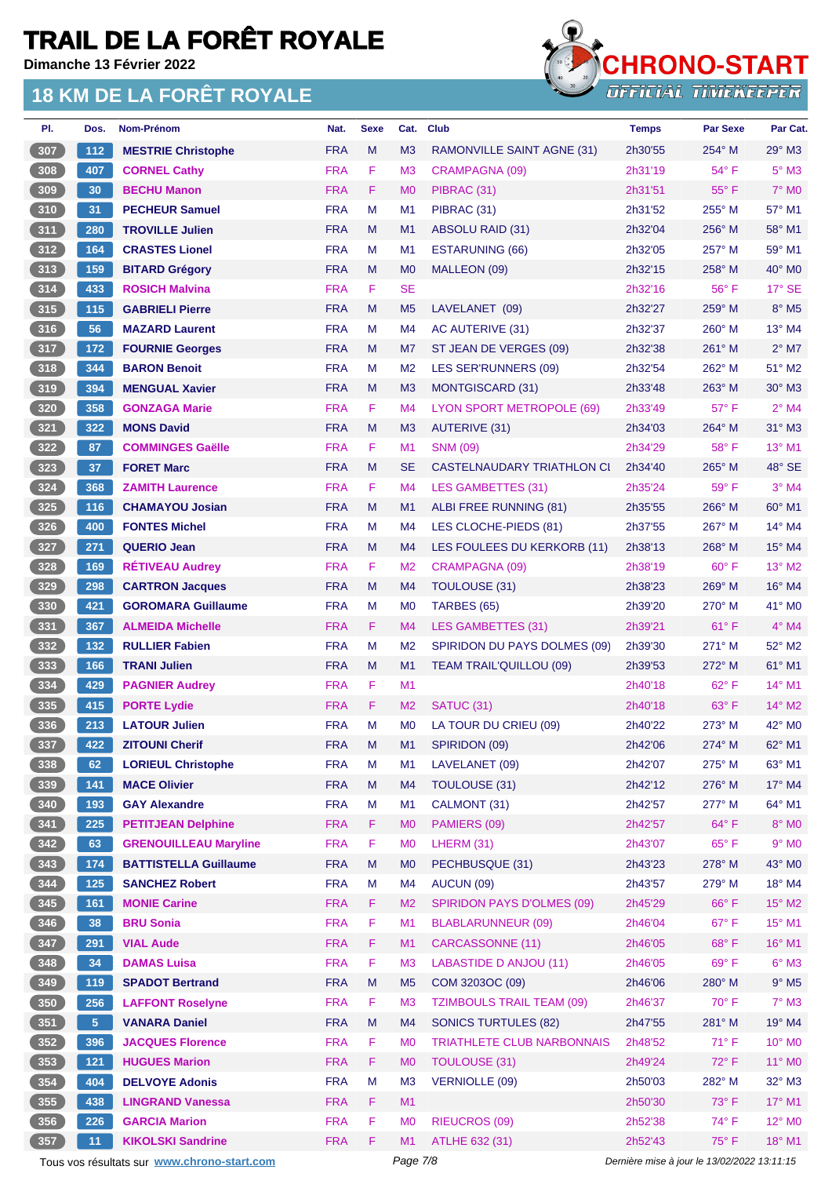**Dimanche 13 Février 2022**



| PI.           | Dos.           | <b>Nom-Prénom</b>                           | Nat.       | <b>Sexe</b> | Cat.           | <b>Club</b>                       | <b>Temps</b>                                | <b>Par Sexe</b> | Par Cat.                 |
|---------------|----------------|---------------------------------------------|------------|-------------|----------------|-----------------------------------|---------------------------------------------|-----------------|--------------------------|
| 307           | $112$          | <b>MESTRIE Christophe</b>                   | <b>FRA</b> | M           | M <sub>3</sub> | RAMONVILLE SAINT AGNE (31)        | 2h30'55                                     | 254° M          | $29^\circ$ M3            |
| 308           | 407            | <b>CORNEL Cathy</b>                         | <b>FRA</b> | F           | M <sub>3</sub> | CRAMPAGNA (09)                    | 2h31'19                                     | $54^{\circ}$ F  | $5^\circ$ M3             |
| 309           | 30             | <b>BECHU Manon</b>                          | <b>FRA</b> | F           | M <sub>0</sub> | PIBRAC (31)                       | 2h31'51                                     | $55^{\circ}$ F  | $7^\circ$ MO             |
| 310           | 31             | <b>PECHEUR Samuel</b>                       | <b>FRA</b> | M           | M1             | PIBRAC (31)                       | 2h31'52                                     | 255° M          | $57^\circ$ M1            |
| 311           | 280            | <b>TROVILLE Julien</b>                      | <b>FRA</b> | M           | M <sub>1</sub> | ABSOLU RAID (31)                  | 2h32'04                                     | 256° M          | 58° M1                   |
| 312           | 164            | <b>CRASTES Lionel</b>                       | <b>FRA</b> | M           | M <sub>1</sub> | ESTARUNING (66)                   | 2h32'05                                     | 257° M          | 59° M1                   |
| $\sqrt{313}$  | 159            | <b>BITARD Grégory</b>                       | <b>FRA</b> | M           | M <sub>0</sub> | MALLEON (09)                      | 2h32'15                                     | $258^{\circ}$ M | $40^\circ$ MO            |
| 314           | 433            | <b>ROSICH Malvina</b>                       | <b>FRA</b> | F           | <b>SE</b>      |                                   | 2h32'16                                     | 56°F            | 17° SE                   |
| 315           | 115            | <b>GABRIELI Pierre</b>                      | <b>FRA</b> | M           | M <sub>5</sub> | LAVELANET (09)                    | 2h32'27                                     | $259^{\circ}$ M | $8^\circ$ M <sub>5</sub> |
| 316           | 56             | <b>MAZARD Laurent</b>                       | <b>FRA</b> | м           | M4             | AC AUTERIVE (31)                  | 2h32'37                                     | $260^\circ$ M   | 13° M4                   |
| 317           | 172            | <b>FOURNIE Georges</b>                      | <b>FRA</b> | M           | M7             | ST JEAN DE VERGES (09)            | 2h32'38                                     | 261° M          | $2^{\circ}$ M7           |
| 318           | 344            | <b>BARON Benoit</b>                         | <b>FRA</b> | м           | M <sub>2</sub> | LES SER'RUNNERS (09)              | 2h32'54                                     | 262° M          | 51° M2                   |
| 319           | 394            | <b>MENGUAL Xavier</b>                       | <b>FRA</b> | M           | M <sub>3</sub> | <b>MONTGISCARD (31)</b>           | 2h33'48                                     | 263° M          | $30^\circ$ M3            |
| $\boxed{320}$ | 358            | <b>GONZAGA Marie</b>                        | <b>FRA</b> | F           | M <sub>4</sub> | LYON SPORT METROPOLE (69)         | 2h33'49                                     | $57^\circ$ F    | $2°$ M4                  |
| 321           | 322            | <b>MONS David</b>                           | <b>FRA</b> | M           | M <sub>3</sub> | <b>AUTERIVE (31)</b>              | 2h34'03                                     | 264° M          | $31^\circ$ M3            |
| 322           | 87             | <b>COMMINGES Gaëlle</b>                     | <b>FRA</b> | F           | M1             | <b>SNM (09)</b>                   | 2h34'29                                     | $58^{\circ}$ F  | 13° M1                   |
| 323           | 37             | <b>FORET Marc</b>                           | <b>FRA</b> | M           | <b>SE</b>      | CASTELNAUDARY TRIATHLON CI        | 2h34'40                                     | 265° M          | 48° SE                   |
| 324           | 368            | <b>ZAMITH Laurence</b>                      | <b>FRA</b> | F           | M <sub>4</sub> | <b>LES GAMBETTES (31)</b>         | 2h35'24                                     | 59° F           | $3°$ M4                  |
| 325           | 116            | <b>CHAMAYOU Josian</b>                      | <b>FRA</b> | M           | M1             | ALBI FREE RUNNING (81)            | 2h35'55                                     | 266° M          | 60° M1                   |
| 326           | 400            | <b>FONTES Michel</b>                        | <b>FRA</b> | M           | M4             | LES CLOCHE-PIEDS (81)             | 2h37'55                                     | 267° M          | 14° M4                   |
| 327           | 271            | <b>QUERIO Jean</b>                          | <b>FRA</b> | M           | M4             | LES FOULEES DU KERKORB (11)       | 2h38'13                                     | 268° M          | $15^{\circ}$ M4          |
| $328$         | 169            | <b>RÉTIVEAU Audrey</b>                      | <b>FRA</b> | F           | M <sub>2</sub> | CRAMPAGNA (09)                    | 2h38'19                                     | $60^{\circ}$ F  | 13° M2                   |
| $329$         | 298            | <b>CARTRON Jacques</b>                      | <b>FRA</b> | M           | M <sub>4</sub> | TOULOUSE (31)                     | 2h38'23                                     | 269° M          | $16^{\circ}$ M4          |
| 330           | 421            | <b>GOROMARA Guillaume</b>                   | <b>FRA</b> | M           | M <sub>0</sub> | TARBES (65)                       | 2h39'20                                     | 270° M          | 41° MO                   |
| 331           | 367            | <b>ALMEIDA Michelle</b>                     | <b>FRA</b> | F           | M4             | LES GAMBETTES (31)                | 2h39'21                                     | $61^{\circ}$ F  | $4^\circ$ M4             |
| $332$         | 132            | <b>RULLIER Fabien</b>                       | <b>FRA</b> | M           | M <sub>2</sub> | SPIRIDON DU PAYS DOLMES (09)      | 2h39'30                                     | 271° M          | 52° M2                   |
| 333           | 166            | <b>TRANI Julien</b>                         | <b>FRA</b> | M           | M <sub>1</sub> | TEAM TRAIL'QUILLOU (09)           | 2h39'53                                     | 272° M          | 61° M1                   |
| $334$         | 429            | <b>PAGNIER Audrey</b>                       | <b>FRA</b> | F           | M1             |                                   | 2h40'18                                     | 62°F            | 14° M1                   |
| 335           | 415            | <b>PORTE Lydie</b>                          | <b>FRA</b> | F           | M <sub>2</sub> | SATUC (31)                        | 2h40'18                                     | $63^\circ$ F    | 14° M2                   |
| 336           | 213            | <b>LATOUR Julien</b>                        | <b>FRA</b> | M           | M <sub>0</sub> | LA TOUR DU CRIEU (09)             | 2h40'22                                     | $273^\circ$ M   | $42^{\circ}$ MO          |
| 337           | 422            | <b>ZITOUNI Cherif</b>                       | <b>FRA</b> | M           | M1             | SPIRIDON (09)                     | 2h42'06                                     | 274° M          | 62° M1                   |
| 338           | 62             | <b>LORIEUL Christophe</b>                   | <b>FRA</b> | M           | M <sub>1</sub> | LAVELANET (09)                    | 2h42'07                                     | 275° M          | 63° M1                   |
| 339           | 141            | <b>MACE Olivier</b>                         | <b>FRA</b> | M           | M4             | <b>TOULOUSE (31)</b>              | 2h42'12                                     | 276° M          | 17° M4                   |
| $340$         | 193            | <b>GAY Alexandre</b>                        | <b>FRA</b> | M           | M <sub>1</sub> | CALMONT (31)                      | 2h42'57                                     | 277° M          | $64^\circ$ M1            |
| 341           | 225            | <b>PETITJEAN Delphine</b>                   | <b>FRA</b> | F.          | M <sub>0</sub> | PAMIERS (09)                      | 2h42'57                                     | $64^{\circ}$ F  | 8° MO                    |
| 342           | 63             | <b>GRENOUILLEAU Maryline</b>                | <b>FRA</b> | F           | M <sub>0</sub> | LHERM (31)                        | 2h43'07                                     | $65^{\circ}$ F  | $9°$ MO                  |
| 343           | 174            | <b>BATTISTELLA Guillaume</b>                | <b>FRA</b> | M           | M <sub>0</sub> | PECHBUSQUE (31)                   | 2h43'23                                     | 278° M          | 43° MO                   |
| 344           | 125            | <b>SANCHEZ Robert</b>                       | <b>FRA</b> | M           | M4             | AUCUN (09)                        | 2h43'57                                     | 279° M          | 18° M4                   |
| 345           | 161            | <b>MONIE Carine</b>                         | <b>FRA</b> | F           | M <sub>2</sub> | <b>SPIRIDON PAYS D'OLMES (09)</b> | 2h45'29                                     | $66^{\circ}$ F  | $15^{\circ}$ M2          |
| 346           | 38             | <b>BRU Sonia</b>                            | <b>FRA</b> | F           | M1             | <b>BLABLARUNNEUR (09)</b>         | 2h46'04                                     | $67^\circ$ F    | 15° M1                   |
| 347           | 291            | <b>VIAL Aude</b>                            | <b>FRA</b> | F           | M1             | <b>CARCASSONNE (11)</b>           | 2h46'05                                     | $68^{\circ}$ F  | 16° M1                   |
| $348$         | 34             | <b>DAMAS Luisa</b>                          | <b>FRA</b> | F           | M <sub>3</sub> | LABASTIDE D ANJOU (11)            | 2h46'05                                     | 69°F            | $6^\circ$ M3             |
| 349           | 119            | <b>SPADOT Bertrand</b>                      | <b>FRA</b> | M           | M <sub>5</sub> | COM 3203OC (09)                   | 2h46'06                                     | 280° M          | $9°$ M <sub>5</sub>      |
| 350           | 256            | <b>LAFFONT Roselyne</b>                     | <b>FRA</b> | F           | M <sub>3</sub> | <b>TZIMBOULS TRAIL TEAM (09)</b>  | 2h46'37                                     | 70°F            | $7^\circ$ M3             |
| 351           | 5 <sub>5</sub> | <b>VANARA Daniel</b>                        | <b>FRA</b> | M           | M4             | <b>SONICS TURTULES (82)</b>       | 2h47'55                                     | 281° M          | 19° M4                   |
| $352$         | 396            | <b>JACQUES Florence</b>                     | <b>FRA</b> | F           | M <sub>0</sub> | <b>TRIATHLETE CLUB NARBONNAIS</b> | 2h48'52                                     | $71^\circ$ F    | 10° MO                   |
| 353           |                |                                             | <b>FRA</b> | F           | M <sub>0</sub> |                                   |                                             | $72^{\circ}$ F  | 11° MO                   |
|               | $121$          | <b>HUGUES Marion</b>                        |            |             |                | <b>TOULOUSE (31)</b>              | 2h49'24                                     |                 |                          |
| $354$         | 404            | <b>DELVOYE Adonis</b>                       | <b>FRA</b> | M           | M <sub>3</sub> | <b>VERNIOLLE (09)</b>             | 2h50'03                                     | 282° M<br>73° F | 32° M3                   |
| 355           | 438            | <b>LINGRAND Vanessa</b>                     | <b>FRA</b> | F.          | M1             |                                   | 2h50'30                                     |                 | 17° M1                   |
| 356           | 226            | <b>GARCIA Marion</b>                        | <b>FRA</b> | F           | M <sub>0</sub> | <b>RIEUCROS (09)</b>              | 2h52'38                                     | 74° F           | 12° M <sub>0</sub>       |
| 357           | 11             | <b>KIKOLSKI Sandrine</b>                    | <b>FRA</b> | F           | M1             | ATLHE 632 (31)                    | 2h52'43                                     | 75°F            | 18° M1                   |
|               |                | Tous vos résultats sur www.chrono-start.com |            |             | Page 7/8       |                                   | Dernière mise à jour le 13/02/2022 13:11:15 |                 |                          |